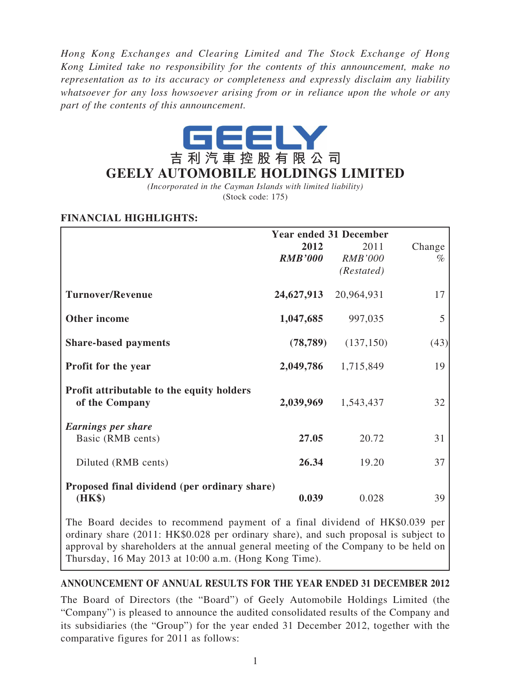*Hong Kong Exchanges and Clearing Limited and The Stock Exchange of Hong Kong Limited take no responsibility for the contents of this announcement, make no representation as to its accuracy or completeness and expressly disclaim any liability whatsoever for any loss howsoever arising from or in reliance upon the whole or any part of the contents of this announcement.*



*(Incorporated in the Cayman Islands with limited liability)* (Stock code: 175)

# **FINANCIAL HIGHLIGHTS:**

|                                                             | <b>Year ended 31 December</b> |                                      |                |  |
|-------------------------------------------------------------|-------------------------------|--------------------------------------|----------------|--|
|                                                             | 2012<br><b>RMB'000</b>        | 2011<br><b>RMB'000</b><br>(Restated) | Change<br>$\%$ |  |
| <b>Turnover/Revenue</b>                                     | 24,627,913                    | 20,964,931                           | 17             |  |
| Other income                                                | 1,047,685                     | 997,035                              | 5              |  |
| <b>Share-based payments</b>                                 | (78, 789)                     | (137, 150)                           | (43)           |  |
| <b>Profit for the year</b>                                  | 2,049,786                     | 1,715,849                            | 19             |  |
| Profit attributable to the equity holders<br>of the Company | 2,039,969                     | 1,543,437                            | 32             |  |
| <b>Earnings per share</b><br>Basic (RMB cents)              | 27.05                         | 20.72                                | 31             |  |
| Diluted (RMB cents)                                         | 26.34                         | 19.20                                | 37             |  |
| Proposed final dividend (per ordinary share)<br>(HK\$)      | 0.039                         | 0.028                                | 39             |  |

The Board decides to recommend payment of a final dividend of HK\$0.039 per ordinary share (2011: HK\$0.028 per ordinary share), and such proposal is subject to approval by shareholders at the annual general meeting of the Company to be held on Thursday, 16 May 2013 at 10:00 a.m. (Hong Kong Time).

## **ANNOUNCEMENT OF ANNUAL RESULTS FOR THE YEAR ENDED 31 DECEMBER 2012**

The Board of Directors (the "Board") of Geely Automobile Holdings Limited (the "Company") is pleased to announce the audited consolidated results of the Company and its subsidiaries (the "Group") for the year ended 31 December 2012, together with the comparative figures for 2011 as follows: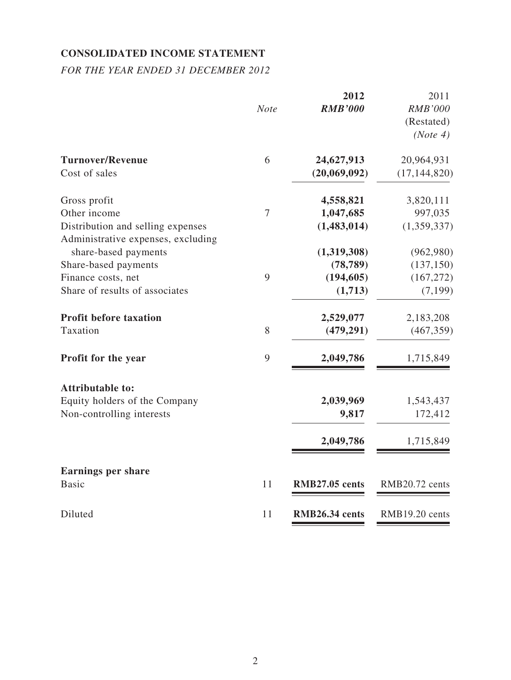# **CONSOLIDATED INCOME STATEMENT**

*FOR THE YEAR ENDED 31 DECEMBER 2012*

|                                                                         | <b>Note</b> | 2012<br><b>RMB'000</b> | 2011<br><b>RMB'000</b><br>(Restated)<br>(Note 4) |
|-------------------------------------------------------------------------|-------------|------------------------|--------------------------------------------------|
| <b>Turnover/Revenue</b>                                                 | 6           | 24,627,913             | 20,964,931                                       |
| Cost of sales                                                           |             | (20,069,092)           | (17, 144, 820)                                   |
| Gross profit                                                            |             | 4,558,821              | 3,820,111                                        |
| Other income                                                            | 7           | 1,047,685              | 997,035                                          |
| Distribution and selling expenses<br>Administrative expenses, excluding |             | (1,483,014)            | (1,359,337)                                      |
| share-based payments                                                    |             | (1,319,308)            | (962,980)                                        |
| Share-based payments                                                    |             | (78, 789)              | (137, 150)                                       |
| Finance costs, net                                                      | 9           | (194, 605)             | (167, 272)                                       |
| Share of results of associates                                          |             | (1,713)                | (7,199)                                          |
| <b>Profit before taxation</b>                                           |             | 2,529,077              | 2,183,208                                        |
| Taxation                                                                | 8           | (479, 291)             | (467, 359)                                       |
| Profit for the year                                                     | 9           | 2,049,786              | 1,715,849                                        |
| <b>Attributable to:</b>                                                 |             |                        |                                                  |
| Equity holders of the Company                                           |             | 2,039,969              | 1,543,437                                        |
| Non-controlling interests                                               |             | 9,817                  | 172,412                                          |
|                                                                         |             | 2,049,786              | 1,715,849                                        |
| <b>Earnings per share</b>                                               |             |                        |                                                  |
| <b>Basic</b>                                                            | 11          | RMB27.05 cents         | RMB20.72 cents                                   |
| Diluted                                                                 | 11          | RMB26.34 cents         | RMB19.20 cents                                   |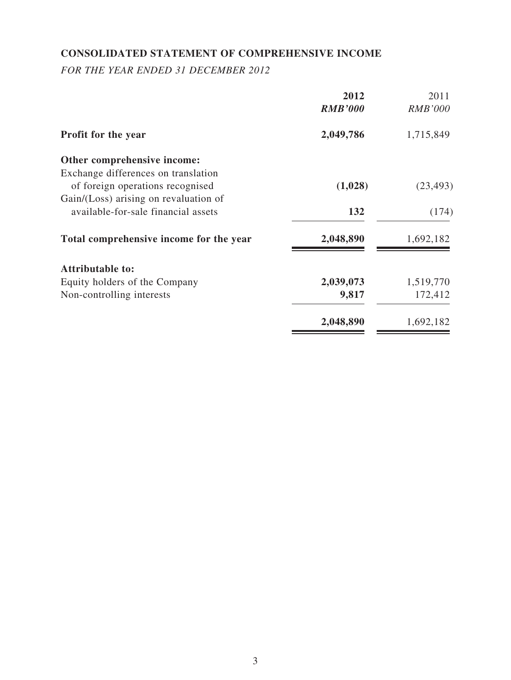# **CONSOLIDATED STATEMENT OF COMPREHENSIVE INCOME**

*FOR THE YEAR ENDED 31 DECEMBER 2012*

|                                         | 2012<br><b>RMB'000</b> | 2011<br><b>RMB'000</b> |
|-----------------------------------------|------------------------|------------------------|
| <b>Profit for the year</b>              | 2,049,786              | 1,715,849              |
| Other comprehensive income:             |                        |                        |
| Exchange differences on translation     |                        |                        |
| of foreign operations recognised        | (1,028)                | (23, 493)              |
| Gain/(Loss) arising on revaluation of   |                        |                        |
| available-for-sale financial assets     | 132                    | (174)                  |
| Total comprehensive income for the year | 2,048,890              | 1,692,182              |
| <b>Attributable to:</b>                 |                        |                        |
| Equity holders of the Company           | 2,039,073              | 1,519,770              |
| Non-controlling interests               | 9,817                  | 172,412                |
|                                         | 2,048,890              | 1,692,182              |
|                                         |                        |                        |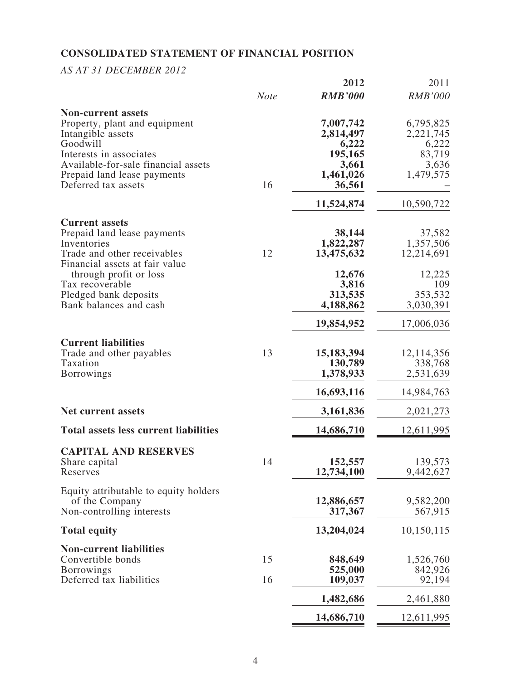# **CONSOLIDATED STATEMENT OF FINANCIAL POSITION**

# *AS AT 31 DECEMBER 2012*

| <b>RMB'000</b><br><b>Note</b><br><b>Non-current assets</b><br>7,007,742<br>Property, plant and equipment<br>2,814,497<br>Intangible assets<br>Goodwill<br>6,222<br>195,165<br>Interests in associates<br>Available-for-sale financial assets<br>3,661<br>1,461,026<br>Prepaid land lease payments<br>16<br>Deferred tax assets<br>36,561<br>11,524,874 | <b>RMB'000</b><br>6,795,825<br>2,221,745<br>6,222<br>83,719<br>3,636<br>1,479,575<br>10,590,722 |
|--------------------------------------------------------------------------------------------------------------------------------------------------------------------------------------------------------------------------------------------------------------------------------------------------------------------------------------------------------|-------------------------------------------------------------------------------------------------|
|                                                                                                                                                                                                                                                                                                                                                        |                                                                                                 |
|                                                                                                                                                                                                                                                                                                                                                        |                                                                                                 |
|                                                                                                                                                                                                                                                                                                                                                        |                                                                                                 |
|                                                                                                                                                                                                                                                                                                                                                        |                                                                                                 |
|                                                                                                                                                                                                                                                                                                                                                        |                                                                                                 |
|                                                                                                                                                                                                                                                                                                                                                        |                                                                                                 |
|                                                                                                                                                                                                                                                                                                                                                        |                                                                                                 |
|                                                                                                                                                                                                                                                                                                                                                        |                                                                                                 |
|                                                                                                                                                                                                                                                                                                                                                        |                                                                                                 |
|                                                                                                                                                                                                                                                                                                                                                        |                                                                                                 |
| <b>Current assets</b>                                                                                                                                                                                                                                                                                                                                  |                                                                                                 |
| 38,144<br>Prepaid land lease payments                                                                                                                                                                                                                                                                                                                  | 37,582                                                                                          |
| 1,822,287<br>Inventories                                                                                                                                                                                                                                                                                                                               | 1,357,506                                                                                       |
| 12<br>13,475,632<br>Trade and other receivables<br>12,214,691                                                                                                                                                                                                                                                                                          |                                                                                                 |
| Financial assets at fair value                                                                                                                                                                                                                                                                                                                         |                                                                                                 |
| 12,676<br>through profit or loss<br>3,816<br>Tax recoverable                                                                                                                                                                                                                                                                                           | 12,225<br>109                                                                                   |
| 313,535<br>Pledged bank deposits                                                                                                                                                                                                                                                                                                                       | 353,532                                                                                         |
| Bank balances and cash<br>4,188,862<br>3,030,391                                                                                                                                                                                                                                                                                                       |                                                                                                 |
|                                                                                                                                                                                                                                                                                                                                                        |                                                                                                 |
| 19,854,952<br>17,006,036                                                                                                                                                                                                                                                                                                                               |                                                                                                 |
| <b>Current liabilities</b>                                                                                                                                                                                                                                                                                                                             |                                                                                                 |
| 13<br>Trade and other payables<br>15, 183, 394<br>12,114,356                                                                                                                                                                                                                                                                                           |                                                                                                 |
| Taxation<br>130,789                                                                                                                                                                                                                                                                                                                                    | 338,768                                                                                         |
| 1,378,933<br><b>Borrowings</b>                                                                                                                                                                                                                                                                                                                         | 2,531,639                                                                                       |
| 16,693,116<br>14,984,763                                                                                                                                                                                                                                                                                                                               |                                                                                                 |
| <b>Net current assets</b><br>3,161,836<br>2,021,273                                                                                                                                                                                                                                                                                                    |                                                                                                 |
| <b>Total assets less current liabilities</b><br>14,686,710<br>12,611,995                                                                                                                                                                                                                                                                               |                                                                                                 |
| <b>CAPITAL AND RESERVES</b>                                                                                                                                                                                                                                                                                                                            |                                                                                                 |
| 152,557<br>14<br>Share capital                                                                                                                                                                                                                                                                                                                         | 139,573                                                                                         |
| 12,734,100<br>Reserves                                                                                                                                                                                                                                                                                                                                 | 9,442,627                                                                                       |
| Equity attributable to equity holders                                                                                                                                                                                                                                                                                                                  |                                                                                                 |
| 12,886,657<br>of the Company                                                                                                                                                                                                                                                                                                                           | 9,582,200                                                                                       |
| Non-controlling interests<br>317,367                                                                                                                                                                                                                                                                                                                   | 567,915                                                                                         |
| 13,204,024<br>10,150,115<br><b>Total equity</b>                                                                                                                                                                                                                                                                                                        |                                                                                                 |
|                                                                                                                                                                                                                                                                                                                                                        |                                                                                                 |
| <b>Non-current liabilities</b>                                                                                                                                                                                                                                                                                                                         |                                                                                                 |
| Convertible bonds<br>15<br>848,649                                                                                                                                                                                                                                                                                                                     | 1,526,760                                                                                       |
| <b>Borrowings</b><br>525,000                                                                                                                                                                                                                                                                                                                           | 842,926                                                                                         |
| 16<br>Deferred tax liabilities<br>109,037                                                                                                                                                                                                                                                                                                              | 92,194                                                                                          |
| 1,482,686                                                                                                                                                                                                                                                                                                                                              | 2,461,880                                                                                       |
| 14,686,710<br>12,611,995                                                                                                                                                                                                                                                                                                                               |                                                                                                 |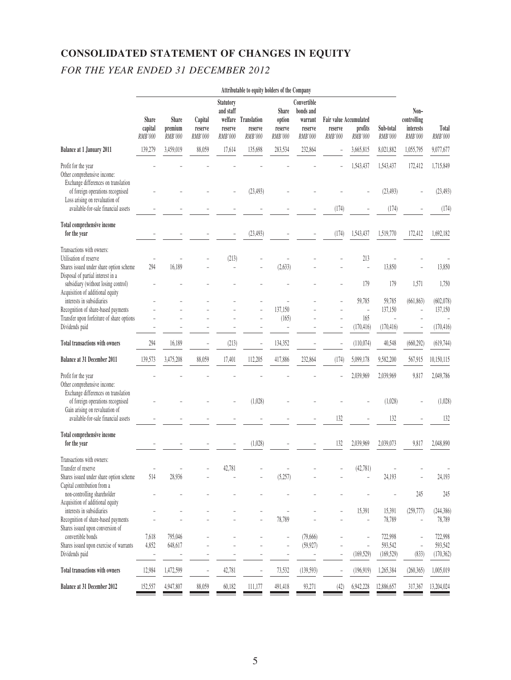# **CONSOLIDATED STATEMENT OF CHANGES IN EQUITY** *FOR THE YEAR ENDED 31 DECEMBER 2012*

|                                                                                                                                                                 | Attributable to equity holders of the Company |                             |                               |                                                     |                                           |                                       |                                                           |                                                     |                               |                                  |                                             |                                  |
|-----------------------------------------------------------------------------------------------------------------------------------------------------------------|-----------------------------------------------|-----------------------------|-------------------------------|-----------------------------------------------------|-------------------------------------------|---------------------------------------|-----------------------------------------------------------|-----------------------------------------------------|-------------------------------|----------------------------------|---------------------------------------------|----------------------------------|
|                                                                                                                                                                 | Share<br>capital<br><b>RMB'000</b>            | Share<br>premium<br>RMB'000 | Capital<br>reserve<br>RMB'000 | <b>Statutory</b><br>and staff<br>reserve<br>RMB'000 | welfare Translation<br>reserve<br>RMB'000 | Share<br>option<br>reserve<br>RMB'000 | Convertible<br>bonds and<br>warrant<br>reserve<br>RMB'000 | Fair value Accumulated<br>reserve<br><b>RMB'000</b> | profits<br>RMB'000            | Sub-total<br>RMB'000             | Non-<br>controlling<br>interests<br>RMB'000 | Total<br>RMB'000                 |
| <b>Balance at 1 January 2011</b>                                                                                                                                | 139,279                                       | 3,459,019                   | 88,059                        | 17,614                                              | 135,698                                   | 283,534                               | 232,864                                                   | $\overline{\phantom{0}}$                            | 3,665,815                     | 8,021,882                        | 1,055,795                                   | 9,077,677                        |
| Profit for the year<br>Other comprehensive income:<br>Exchange differences on translation<br>of foreign operations recognised<br>Loss arising on revaluation of |                                               |                             |                               |                                                     | (23, 493)                                 |                                       |                                                           |                                                     | 1,543,437                     | 1,543,437<br>(23, 493)           | 172,412                                     | 1,715,849<br>(23, 493)           |
| available-for-sale financial assets                                                                                                                             |                                               |                             |                               |                                                     |                                           |                                       |                                                           | (174)                                               |                               | (174)                            |                                             | (174)                            |
| Total comprehensive income<br>for the year                                                                                                                      |                                               |                             |                               |                                                     | (23, 493)                                 |                                       |                                                           | (174)                                               | 1,543,437                     | 1,519,770                        | 172,412                                     | 1,692,182                        |
| Transactions with owners:<br>Utilisation of reserve<br>Shares issued under share option scheme<br>Disposal of partial interest in a                             | 294                                           | 16,189                      |                               | (213)                                               |                                           | (2, 633)                              |                                                           |                                                     | 213<br>$\overline{a}$         | 13,850                           |                                             | 13,850                           |
| subsidiary (without losing control)<br>Acquisition of additional equity                                                                                         |                                               |                             |                               |                                                     |                                           |                                       |                                                           |                                                     | 179                           | 179                              | 1,571                                       | 1,750                            |
| interests in subsidiaries<br>Recognition of share-based payments<br>Transfer upon forfeiture of share options                                                   |                                               |                             |                               |                                                     |                                           | 137,150<br>(165)                      |                                                           |                                                     | 59,785<br>$\sim$<br>165       | 59,785<br>137,150                | (661, 863)                                  | (602, 078)<br>137,150            |
| Dividends paid                                                                                                                                                  |                                               |                             |                               |                                                     |                                           |                                       |                                                           |                                                     | (170, 416)                    | (170, 416)                       |                                             | (170, 416)                       |
| Total transactions with owners                                                                                                                                  | 294                                           | 16,189                      |                               | (213)                                               |                                           | 134,352                               |                                                           |                                                     | (110,074)                     | 40,548                           | (660, 292)                                  | (619, 744)                       |
| Balance at 31 December 2011                                                                                                                                     | 139,573                                       | 3,475,208                   | 88,059                        | 17,401                                              | 112,205                                   | 417,886                               | 232,864                                                   | (174)                                               | 5,099,178                     | 9,582,200                        | 567,915                                     | 10,150,115                       |
| Profit for the year<br>Other comprehensive income:<br>Exchange differences on translation                                                                       |                                               |                             |                               |                                                     |                                           |                                       |                                                           |                                                     | 2,039,969                     | 2,039,969                        | 9,817                                       | 2,049,786                        |
| of foreign operations recognised<br>Gain arising on revaluation of                                                                                              |                                               |                             |                               |                                                     | (1,028)                                   |                                       |                                                           |                                                     |                               | (1,028)                          |                                             | (1,028)                          |
| available-for-sale financial assets                                                                                                                             |                                               |                             |                               |                                                     |                                           |                                       |                                                           | 132                                                 |                               | 132                              |                                             | 132                              |
| Total comprehensive income<br>for the year                                                                                                                      |                                               |                             |                               |                                                     | (1,028)                                   |                                       |                                                           | 132                                                 | 2,039,969                     | 2,039,073                        | 9,817                                       | 2,048,890                        |
| Transactions with owners:<br>Transfer of reserve<br>Shares issued under share option scheme                                                                     | 514                                           | 28,936                      |                               | 42,781                                              |                                           | (5,257)                               |                                                           |                                                     | (42, 781)                     | 24,193                           |                                             | 24,193                           |
| Capital contribution from a<br>non-controlling shareholder<br>Acquisition of additional equity                                                                  |                                               |                             |                               |                                                     |                                           |                                       |                                                           |                                                     |                               |                                  | 245                                         | 245                              |
| interests in subsidiaries<br>Recognition of share-based payments<br>Shares issued upon conversion of                                                            |                                               |                             |                               |                                                     |                                           | 78,789                                |                                                           |                                                     | 15,391<br>$\bar{\phantom{a}}$ | 15,391<br>78,789                 | (259, 777)                                  | (244, 386)<br>78,789             |
| convertible bonds<br>Shares issued upon exercise of warrants<br>Dividends paid                                                                                  | 7,618<br>4,852                                | 795,046<br>648,617          |                               |                                                     |                                           |                                       | (79,666)<br>(59, 927)<br>$\overline{a}$                   |                                                     | (169, 529)                    | 722,998<br>593,542<br>(169, 529) | $\frac{1}{2}$<br>(833)                      | 722,998<br>593,542<br>(170, 362) |
| Total transactions with owners                                                                                                                                  | 12,984                                        | 1,472,599                   |                               | 42,781                                              | $\qquad \qquad \blacksquare$              | 73,532                                | (139, 593)                                                |                                                     | (196, 919)                    | 1,265,384                        | (260, 365)                                  | 1,005,019                        |
| Balance at 31 December 2012                                                                                                                                     | 152,557                                       | 4,947,807                   | 88,059                        | 60,182                                              | 111,177                                   | 491,418                               | 93,271                                                    | (42)                                                | 6,942,228                     | 12,886,657                       | 317,367                                     | 13,204,024                       |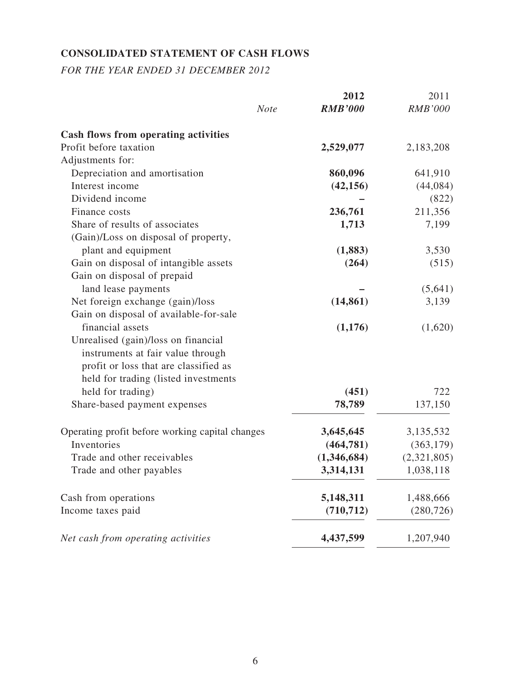# **CONSOLIDATED STATEMENT OF CASH FLOWS**

*FOR THE YEAR ENDED 31 DECEMBER 2012*

|                                                 | 2012                          | 2011           |
|-------------------------------------------------|-------------------------------|----------------|
|                                                 | <b>RMB'000</b><br><b>Note</b> | <b>RMB'000</b> |
| <b>Cash flows from operating activities</b>     |                               |                |
| Profit before taxation                          | 2,529,077                     | 2,183,208      |
| Adjustments for:                                |                               |                |
| Depreciation and amortisation                   | 860,096                       | 641,910        |
| Interest income                                 | (42, 156)                     | (44,084)       |
| Dividend income                                 |                               | (822)          |
| Finance costs                                   | 236,761                       | 211,356        |
| Share of results of associates                  | 1,713                         | 7,199          |
| (Gain)/Loss on disposal of property,            |                               |                |
| plant and equipment                             | (1,883)                       | 3,530          |
| Gain on disposal of intangible assets           | (264)                         | (515)          |
| Gain on disposal of prepaid                     |                               |                |
| land lease payments                             |                               | (5,641)        |
| Net foreign exchange (gain)/loss                | (14, 861)                     | 3,139          |
| Gain on disposal of available-for-sale          |                               |                |
| financial assets                                | (1,176)                       | (1,620)        |
| Unrealised (gain)/loss on financial             |                               |                |
| instruments at fair value through               |                               |                |
| profit or loss that are classified as           |                               |                |
| held for trading (listed investments            |                               |                |
| held for trading)                               | (451)                         | 722            |
| Share-based payment expenses                    | 78,789                        | 137,150        |
| Operating profit before working capital changes | 3,645,645                     | 3,135,532      |
| Inventories                                     | (464, 781)                    | (363, 179)     |
| Trade and other receivables                     | (1,346,684)                   | (2,321,805)    |
| Trade and other payables                        | 3,314,131                     | 1,038,118      |
| Cash from operations                            | 5,148,311                     | 1,488,666      |
| Income taxes paid                               | (710, 712)                    | (280, 726)     |
| Net cash from operating activities              | 4,437,599                     | 1,207,940      |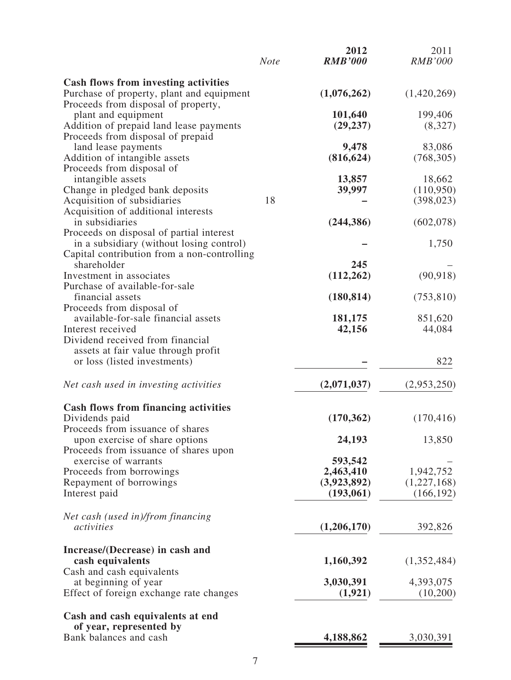|                                                                                          | <b>Note</b> | 2012<br><b>RMB'000</b> | 2011<br><b>RMB'000</b> |
|------------------------------------------------------------------------------------------|-------------|------------------------|------------------------|
| <b>Cash flows from investing activities</b><br>Purchase of property, plant and equipment |             | (1,076,262)            | (1,420,269)            |
| Proceeds from disposal of property,                                                      |             |                        |                        |
| plant and equipment                                                                      |             | 101,640                | 199,406                |
| Addition of prepaid land lease payments                                                  |             | (29, 237)              | (8,327)                |
| Proceeds from disposal of prepaid                                                        |             |                        |                        |
| land lease payments                                                                      |             | 9,478                  | 83,086                 |
| Addition of intangible assets                                                            |             | (816, 624)             | (768, 305)             |
| Proceeds from disposal of                                                                |             |                        |                        |
| intangible assets                                                                        |             | 13,857                 | 18,662                 |
| Change in pledged bank deposits                                                          | 18          | 39,997                 | (110,950)              |
| Acquisition of subsidiaries<br>Acquisition of additional interests                       |             |                        | (398, 023)             |
| in subsidiaries                                                                          |             | (244, 386)             | (602,078)              |
| Proceeds on disposal of partial interest                                                 |             |                        |                        |
| in a subsidiary (without losing control)                                                 |             |                        | 1,750                  |
| Capital contribution from a non-controlling                                              |             |                        |                        |
| shareholder                                                                              |             | 245                    |                        |
| Investment in associates                                                                 |             | (112, 262)             | (90, 918)              |
| Purchase of available-for-sale                                                           |             |                        |                        |
| financial assets                                                                         |             | (180, 814)             | (753, 810)             |
| Proceeds from disposal of                                                                |             |                        |                        |
| available-for-sale financial assets                                                      |             | 181,175                | 851,620                |
| Interest received                                                                        |             | 42,156                 | 44,084                 |
| Dividend received from financial                                                         |             |                        |                        |
| assets at fair value through profit<br>or loss (listed investments)                      |             |                        | 822                    |
|                                                                                          |             |                        |                        |
| Net cash used in investing activities                                                    |             | (2,071,037)            | (2,953,250)            |
|                                                                                          |             |                        |                        |
| <b>Cash flows from financing activities</b><br>Dividends paid                            |             | (170, 362)             | (170, 416)             |
| Proceeds from issuance of shares                                                         |             |                        |                        |
| upon exercise of share options                                                           |             | 24,193                 | 13,850                 |
| Proceeds from issuance of shares upon                                                    |             |                        |                        |
| exercise of warrants                                                                     |             | 593,542                |                        |
| Proceeds from borrowings                                                                 |             | 2,463,410              | 1,942,752              |
| Repayment of borrowings                                                                  |             | (3,923,892)            | (1,227,168)            |
| Interest paid                                                                            |             | (193,061)              | (166, 192)             |
|                                                                                          |             |                        |                        |
| Net cash (used in)/from financing                                                        |             |                        |                        |
| activities                                                                               |             | (1,206,170)            | 392,826                |
|                                                                                          |             |                        |                        |
| Increase/(Decrease) in cash and<br>cash equivalents                                      |             | 1,160,392              | (1,352,484)            |
| Cash and cash equivalents                                                                |             |                        |                        |
| at beginning of year                                                                     |             | 3,030,391              | 4,393,075              |
| Effect of foreign exchange rate changes                                                  |             | (1, 921)               | (10,200)               |
| Cash and cash equivalents at end                                                         |             |                        |                        |
| of year, represented by                                                                  |             |                        |                        |
| Bank balances and cash                                                                   |             | 4,188,862              | 3,030,391              |
|                                                                                          |             |                        |                        |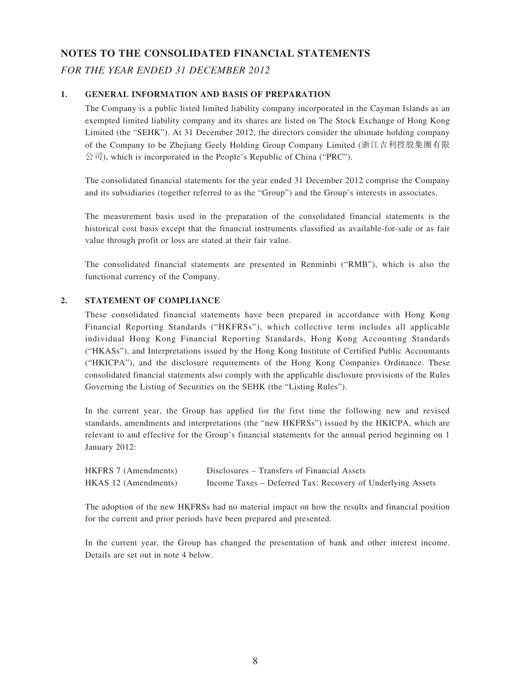## **NOTES TO THE CONSOLIDATED FINANCIAL STATEMENTS**

*FOR THE YEAR ENDED 31 DECEMBER 2012*

### **1. GENERAL INFORMATION AND BASIS OF PREPARATION**

The Company is a public listed limited liability company incorporated in the Cayman Islands as an exempted limited liability company and its shares are listed on The Stock Exchange of Hong Kong Limited (the "SEHK"). At 31 December 2012, the directors consider the ultimate holding company of the Company to be Zhejiang Geely Holding Group Company Limited (浙江吉利控股集團有限 公司), which is incorporated in the People's Republic of China ("PRC").

The consolidated financial statements for the year ended 31 December 2012 comprise the Company and its subsidiaries (together referred to as the "Group") and the Group's interests in associates.

The measurement basis used in the preparation of the consolidated financial statements is the historical cost basis except that the financial instruments classified as available-for-sale or as fair value through profit or loss are stated at their fair value.

The consolidated financial statements are presented in Renminbi ("RMB"), which is also the functional currency of the Company.

### **2. STATEMENT OF COMPLIANCE**

These consolidated financial statements have been prepared in accordance with Hong Kong Financial Reporting Standards ("HKFRSs"), which collective term includes all applicable individual Hong Kong Financial Reporting Standards, Hong Kong Accounting Standards ("HKASs"), and Interpretations issued by the Hong Kong Institute of Certified Public Accountants ("HKICPA"), and the disclosure requirements of the Hong Kong Companies Ordinance. These consolidated financial statements also comply with the applicable disclosure provisions of the Rules Governing the Listing of Securities on the SEHK (the "Listing Rules").

In the current year, the Group has applied for the first time the following new and revised standards, amendments and interpretations (the "new HKFRSs") issued by the HKICPA, which are relevant to and effective for the Group's financial statements for the annual period beginning on 1 January 2012:

| HKFRS 7 (Amendments) | Disclosures – Transfers of Financial Assets                |
|----------------------|------------------------------------------------------------|
| HKAS 12 (Amendments) | Income Taxes – Deferred Tax: Recovery of Underlying Assets |

The adoption of the new HKFRSs had no material impact on how the results and financial position for the current and prior periods have been prepared and presented.

In the current year, the Group has changed the presentation of bank and other interest income. Details are set out in note 4 below.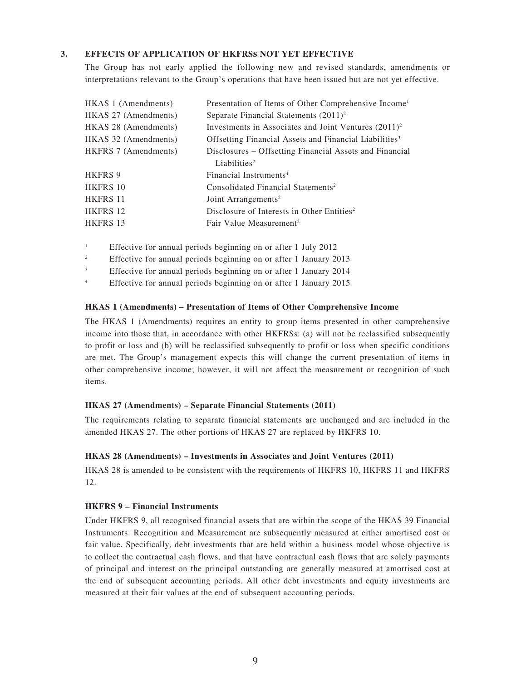### **3. EFFECTS OF APPLICATION OF HKFRSs NOT YET EFFECTIVE**

The Group has not early applied the following new and revised standards, amendments or interpretations relevant to the Group's operations that have been issued but are not yet effective.

| HKAS 1 (Amendments)  | Presentation of Items of Other Comprehensive Income <sup>1</sup>   |
|----------------------|--------------------------------------------------------------------|
| HKAS 27 (Amendments) | Separate Financial Statements $(2011)^2$                           |
| HKAS 28 (Amendments) | Investments in Associates and Joint Ventures $(2011)^2$            |
| HKAS 32 (Amendments) | Offsetting Financial Assets and Financial Liabilities <sup>3</sup> |
| HKFRS 7 (Amendments) | Disclosures – Offsetting Financial Assets and Financial            |
|                      | Liabilities <sup>2</sup>                                           |
| <b>HKFRS 9</b>       | Financial Instruments <sup>4</sup>                                 |
| <b>HKFRS 10</b>      | Consolidated Financial Statements <sup>2</sup>                     |
| <b>HKFRS 11</b>      | Joint Arrangements <sup>2</sup>                                    |
| HKFRS 12             | Disclosure of Interests in Other Entities <sup>2</sup>             |
| <b>HKFRS 13</b>      | Fair Value Measurement <sup>2</sup>                                |

<sup>1</sup> Effective for annual periods beginning on or after 1 July 2012

- <sup>2</sup> Effective for annual periods beginning on or after 1 January 2013
- <sup>3</sup> Effective for annual periods beginning on or after 1 January 2014

<sup>4</sup> Effective for annual periods beginning on or after 1 January 2015

#### **HKAS 1 (Amendments) – Presentation of Items of Other Comprehensive Income**

The HKAS 1 (Amendments) requires an entity to group items presented in other comprehensive income into those that, in accordance with other HKFRSs: (a) will not be reclassified subsequently to profit or loss and (b) will be reclassified subsequently to profit or loss when specific conditions are met. The Group's management expects this will change the current presentation of items in other comprehensive income; however, it will not affect the measurement or recognition of such items.

#### **HKAS 27 (Amendments) – Separate Financial Statements (2011)**

The requirements relating to separate financial statements are unchanged and are included in the amended HKAS 27. The other portions of HKAS 27 are replaced by HKFRS 10.

#### **HKAS 28 (Amendments) – Investments in Associates and Joint Ventures (2011)**

HKAS 28 is amended to be consistent with the requirements of HKFRS 10, HKFRS 11 and HKFRS 12.

#### **HKFRS 9 – Financial Instruments**

Under HKFRS 9, all recognised financial assets that are within the scope of the HKAS 39 Financial Instruments: Recognition and Measurement are subsequently measured at either amortised cost or fair value. Specifically, debt investments that are held within a business model whose objective is to collect the contractual cash flows, and that have contractual cash flows that are solely payments of principal and interest on the principal outstanding are generally measured at amortised cost at the end of subsequent accounting periods. All other debt investments and equity investments are measured at their fair values at the end of subsequent accounting periods.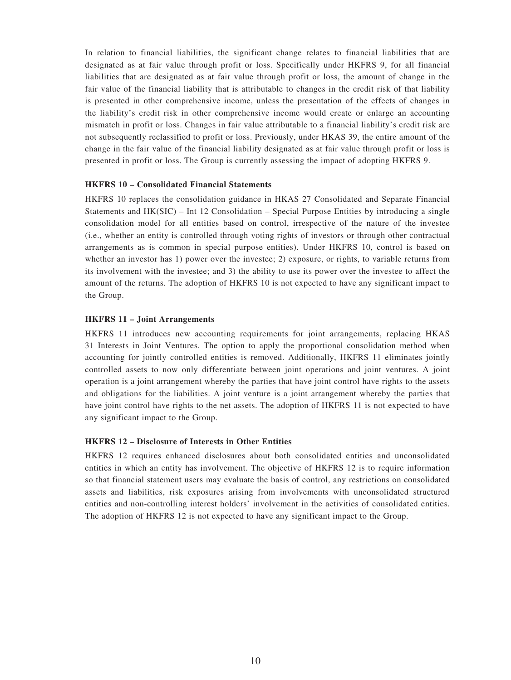In relation to financial liabilities, the significant change relates to financial liabilities that are designated as at fair value through profit or loss. Specifically under HKFRS 9, for all financial liabilities that are designated as at fair value through profit or loss, the amount of change in the fair value of the financial liability that is attributable to changes in the credit risk of that liability is presented in other comprehensive income, unless the presentation of the effects of changes in the liability's credit risk in other comprehensive income would create or enlarge an accounting mismatch in profit or loss. Changes in fair value attributable to a financial liability's credit risk are not subsequently reclassified to profit or loss. Previously, under HKAS 39, the entire amount of the change in the fair value of the financial liability designated as at fair value through profit or loss is presented in profit or loss. The Group is currently assessing the impact of adopting HKFRS 9.

#### **HKFRS 10 – Consolidated Financial Statements**

HKFRS 10 replaces the consolidation guidance in HKAS 27 Consolidated and Separate Financial Statements and HK(SIC) – Int 12 Consolidation – Special Purpose Entities by introducing a single consolidation model for all entities based on control, irrespective of the nature of the investee (i.e., whether an entity is controlled through voting rights of investors or through other contractual arrangements as is common in special purpose entities). Under HKFRS 10, control is based on whether an investor has 1) power over the investee; 2) exposure, or rights, to variable returns from its involvement with the investee; and 3) the ability to use its power over the investee to affect the amount of the returns. The adoption of HKFRS 10 is not expected to have any significant impact to the Group.

#### **HKFRS 11 – Joint Arrangements**

HKFRS 11 introduces new accounting requirements for joint arrangements, replacing HKAS 31 Interests in Joint Ventures. The option to apply the proportional consolidation method when accounting for jointly controlled entities is removed. Additionally, HKFRS 11 eliminates jointly controlled assets to now only differentiate between joint operations and joint ventures. A joint operation is a joint arrangement whereby the parties that have joint control have rights to the assets and obligations for the liabilities. A joint venture is a joint arrangement whereby the parties that have joint control have rights to the net assets. The adoption of HKFRS 11 is not expected to have any significant impact to the Group.

#### **HKFRS 12 – Disclosure of Interests in Other Entities**

HKFRS 12 requires enhanced disclosures about both consolidated entities and unconsolidated entities in which an entity has involvement. The objective of HKFRS 12 is to require information so that financial statement users may evaluate the basis of control, any restrictions on consolidated assets and liabilities, risk exposures arising from involvements with unconsolidated structured entities and non-controlling interest holders' involvement in the activities of consolidated entities. The adoption of HKFRS 12 is not expected to have any significant impact to the Group.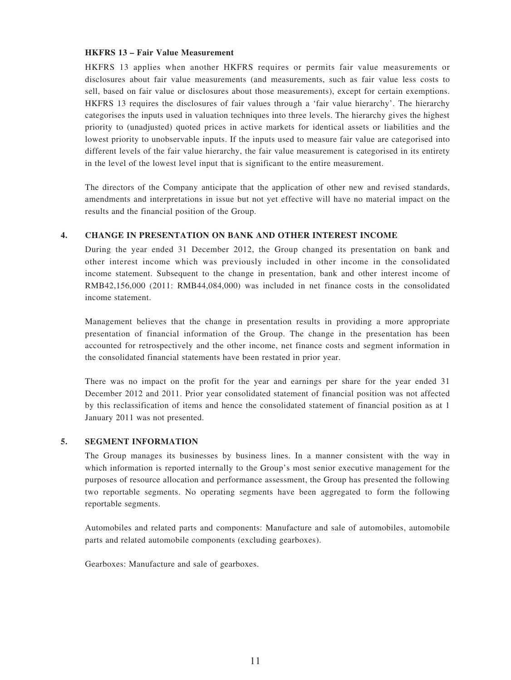#### **HKFRS 13 – Fair Value Measurement**

HKFRS 13 applies when another HKFRS requires or permits fair value measurements or disclosures about fair value measurements (and measurements, such as fair value less costs to sell, based on fair value or disclosures about those measurements), except for certain exemptions. HKFRS 13 requires the disclosures of fair values through a 'fair value hierarchy'. The hierarchy categorises the inputs used in valuation techniques into three levels. The hierarchy gives the highest priority to (unadjusted) quoted prices in active markets for identical assets or liabilities and the lowest priority to unobservable inputs. If the inputs used to measure fair value are categorised into different levels of the fair value hierarchy, the fair value measurement is categorised in its entirety in the level of the lowest level input that is significant to the entire measurement.

The directors of the Company anticipate that the application of other new and revised standards, amendments and interpretations in issue but not yet effective will have no material impact on the results and the financial position of the Group.

#### **4. CHANGE IN PRESENTATION ON BANK AND OTHER INTEREST INCOME**

During the year ended 31 December 2012, the Group changed its presentation on bank and other interest income which was previously included in other income in the consolidated income statement. Subsequent to the change in presentation, bank and other interest income of RMB42,156,000 (2011: RMB44,084,000) was included in net finance costs in the consolidated income statement.

Management believes that the change in presentation results in providing a more appropriate presentation of financial information of the Group. The change in the presentation has been accounted for retrospectively and the other income, net finance costs and segment information in the consolidated financial statements have been restated in prior year.

There was no impact on the profit for the year and earnings per share for the year ended 31 December 2012 and 2011. Prior year consolidated statement of financial position was not affected by this reclassification of items and hence the consolidated statement of financial position as at 1 January 2011 was not presented.

#### **5. SEGMENT INFORMATION**

The Group manages its businesses by business lines. In a manner consistent with the way in which information is reported internally to the Group's most senior executive management for the purposes of resource allocation and performance assessment, the Group has presented the following two reportable segments. No operating segments have been aggregated to form the following reportable segments.

Automobiles and related parts and components: Manufacture and sale of automobiles, automobile parts and related automobile components (excluding gearboxes).

Gearboxes: Manufacture and sale of gearboxes.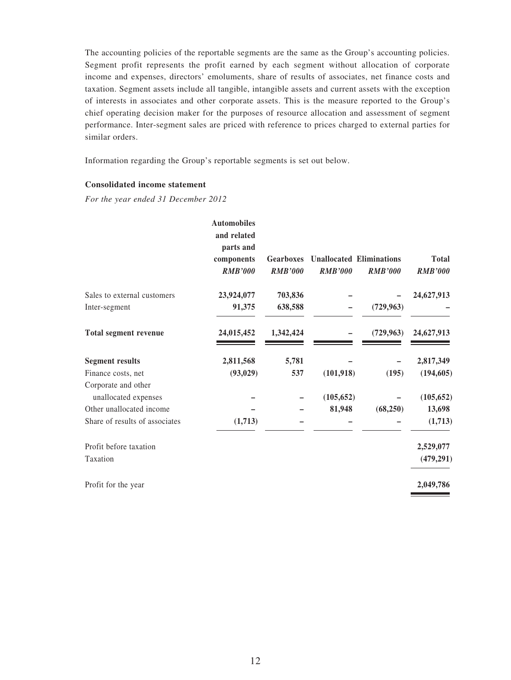The accounting policies of the reportable segments are the same as the Group's accounting policies. Segment profit represents the profit earned by each segment without allocation of corporate income and expenses, directors' emoluments, share of results of associates, net finance costs and taxation. Segment assets include all tangible, intangible assets and current assets with the exception of interests in associates and other corporate assets. This is the measure reported to the Group's chief operating decision maker for the purposes of resource allocation and assessment of segment performance. Inter-segment sales are priced with reference to prices charged to external parties for similar orders.

Information regarding the Group's reportable segments is set out below.

### **Consolidated income statement**

*For the year ended 31 December 2012*

|                                | <b>Automobiles</b> |                  |                |                                 |                |
|--------------------------------|--------------------|------------------|----------------|---------------------------------|----------------|
|                                | and related        |                  |                |                                 |                |
|                                | parts and          |                  |                |                                 |                |
|                                | components         | <b>Gearboxes</b> |                | <b>Unallocated Eliminations</b> | <b>Total</b>   |
|                                | <b>RMB'000</b>     | <b>RMB'000</b>   | <b>RMB'000</b> | <b>RMB'000</b>                  | <b>RMB'000</b> |
| Sales to external customers    | 23,924,077         | 703,836          |                |                                 | 24,627,913     |
| Inter-segment                  | 91,375             | 638,588          |                | (729, 963)                      |                |
| <b>Total segment revenue</b>   | 24,015,452         | 1,342,424        |                | (729, 963)                      | 24,627,913     |
| <b>Segment results</b>         | 2,811,568          | 5,781            |                |                                 | 2,817,349      |
| Finance costs, net             | (93, 029)          | 537              | (101, 918)     | (195)                           | (194, 605)     |
| Corporate and other            |                    |                  |                |                                 |                |
| unallocated expenses           |                    |                  | (105, 652)     |                                 | (105, 652)     |
| Other unallocated income       |                    |                  | 81,948         | (68, 250)                       | 13,698         |
| Share of results of associates | (1,713)            |                  |                |                                 | (1,713)        |
| Profit before taxation         |                    |                  |                |                                 | 2,529,077      |
| Taxation                       |                    |                  |                |                                 | (479, 291)     |
| Profit for the year            |                    |                  |                |                                 | 2,049,786      |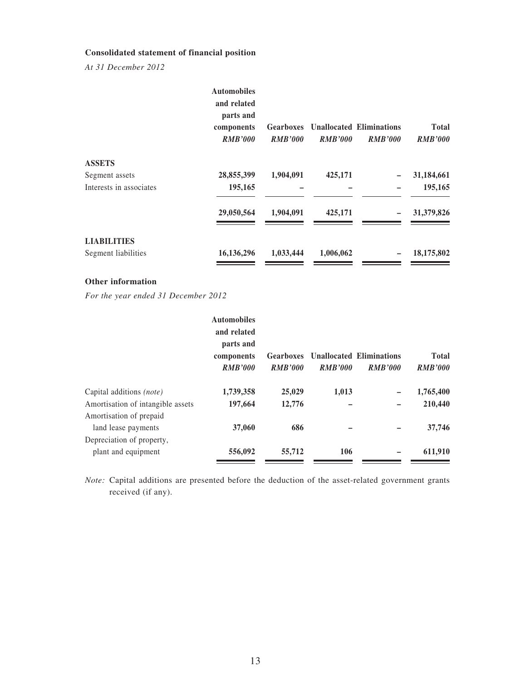### **Consolidated statement of financial position**

*At 31 December 2012*

|                         | <b>Automobiles</b><br>and related<br>parts and<br>components<br><b>RMB'000</b> | <b>Gearboxes</b><br><b>RMB'000</b> | <b>RMB'000</b> | <b>Unallocated Eliminations</b><br><b>RMB'000</b> | <b>Total</b><br><b>RMB'000</b> |
|-------------------------|--------------------------------------------------------------------------------|------------------------------------|----------------|---------------------------------------------------|--------------------------------|
| <b>ASSETS</b>           |                                                                                |                                    |                |                                                   |                                |
| Segment assets          | 28,855,399                                                                     | 1,904,091                          | 425,171        |                                                   | 31,184,661                     |
| Interests in associates | 195,165                                                                        |                                    |                |                                                   | 195,165                        |
|                         | 29,050,564                                                                     | 1,904,091                          | 425,171        |                                                   | 31,379,826                     |
| <b>LIABILITIES</b>      |                                                                                |                                    |                |                                                   |                                |
| Segment liabilities     | 16,136,296                                                                     | 1,033,444                          | 1,006,062      |                                                   | 18,175,802                     |
|                         |                                                                                |                                    |                |                                                   |                                |

### **Other information**

*For the year ended 31 December 2012*

|                                   | <b>Automobiles</b><br>and related<br>parts and<br>components<br><b>RMB'000</b> | Gearboxes<br><b>RMB'000</b> | <b>RMB'000</b> | <b>Unallocated Eliminations</b><br><b>RMB'000</b> | <b>Total</b><br><b>RMB'000</b> |
|-----------------------------------|--------------------------------------------------------------------------------|-----------------------------|----------------|---------------------------------------------------|--------------------------------|
| Capital additions <i>(note)</i>   | 1,739,358                                                                      | 25,029                      | 1,013          |                                                   | 1,765,400                      |
| Amortisation of intangible assets | 197,664                                                                        | 12,776                      |                |                                                   | 210,440                        |
| Amortisation of prepaid           |                                                                                |                             |                |                                                   |                                |
| land lease payments               | 37,060                                                                         | 686                         |                |                                                   | 37,746                         |
| Depreciation of property,         |                                                                                |                             |                |                                                   |                                |
| plant and equipment               | 556,092                                                                        | 55,712                      | 106            |                                                   | 611,910                        |

*Note:* Capital additions are presented before the deduction of the asset-related government grants received (if any).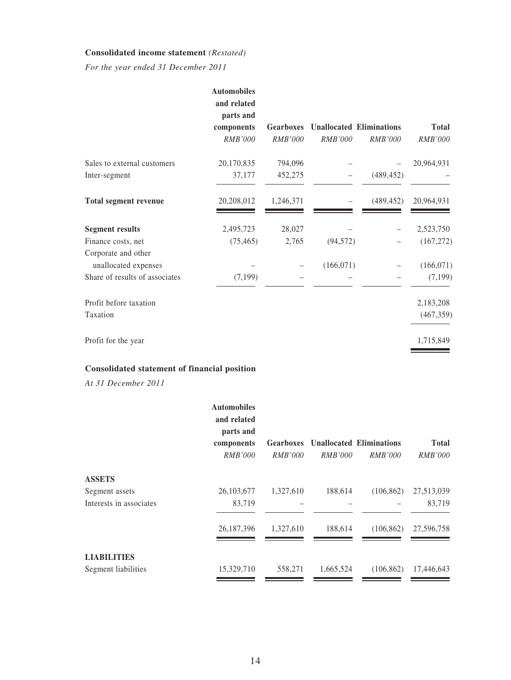### **Consolidated income statement** *(Restated)*

*For the year ended 31 December 2011*

|                                | <b>Automobiles</b><br>and related<br>parts and |                  |                |                                 |              |
|--------------------------------|------------------------------------------------|------------------|----------------|---------------------------------|--------------|
|                                | components                                     | <b>Gearboxes</b> |                | <b>Unallocated Eliminations</b> | <b>Total</b> |
|                                | <b>RMB'000</b>                                 | <b>RMB'000</b>   | <b>RMB'000</b> | <i>RMB'000</i>                  | RMB'000      |
| Sales to external customers    | 20,170,835                                     | 794,096          |                |                                 | 20,964,931   |
| Inter-segment                  | 37,177                                         | 452,275          |                | (489, 452)                      |              |
| <b>Total segment revenue</b>   | 20,208,012                                     | 1,246,371        |                | (489, 452)                      | 20,964,931   |
| <b>Segment results</b>         | 2,495,723                                      | 28,027           |                |                                 | 2,523,750    |
| Finance costs, net             | (75, 465)                                      | 2,765            | (94, 572)      |                                 | (167, 272)   |
| Corporate and other            |                                                |                  |                |                                 |              |
| unallocated expenses           |                                                |                  | (166, 071)     |                                 | (166, 071)   |
| Share of results of associates | (7, 199)                                       |                  |                |                                 | (7, 199)     |
| Profit before taxation         |                                                |                  |                |                                 | 2,183,208    |
| Taxation                       |                                                |                  |                |                                 | (467, 359)   |
| Profit for the year            |                                                |                  |                |                                 | 1,715,849    |

## **Consolidated statement of financial position**

*At 31 December 2011*

|                         | <b>Automobiles</b><br>and related<br>parts and<br>components<br><i>RMB'000</i> | <b>Gearboxes</b><br><i>RMB'000</i> | <i>RMB'000</i> | <b>Unallocated Eliminations</b><br><i>RMB'000</i> | <b>Total</b><br><i>RMB'000</i> |
|-------------------------|--------------------------------------------------------------------------------|------------------------------------|----------------|---------------------------------------------------|--------------------------------|
| <b>ASSETS</b>           |                                                                                |                                    |                |                                                   |                                |
| Segment assets          | 26, 103, 677                                                                   | 1,327,610                          | 188,614        | (106, 862)                                        | 27,513,039                     |
| Interests in associates | 83,719                                                                         |                                    |                |                                                   | 83,719                         |
|                         | 26, 187, 396                                                                   | 1,327,610                          | 188,614        | (106, 862)                                        | 27,596,758                     |
| <b>LIABILITIES</b>      |                                                                                |                                    |                |                                                   |                                |
| Segment liabilities     | 15,329,710                                                                     | 558,271                            | 1,665,524      | (106, 862)                                        | 17,446,643                     |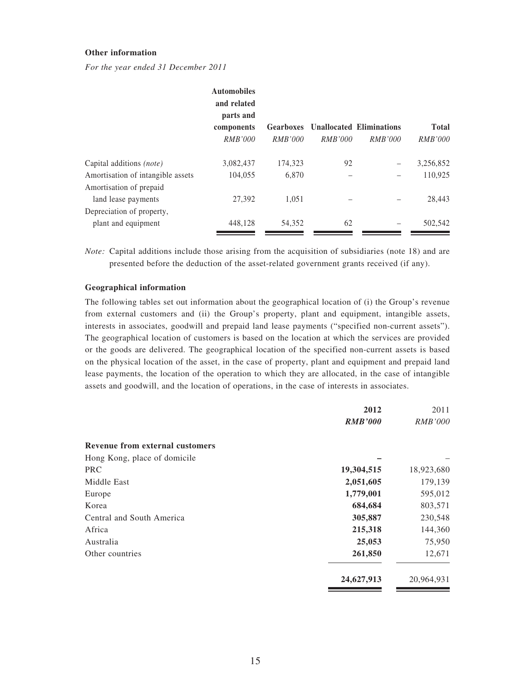#### **Other information**

*For the year ended 31 December 2011*

|                                   | <b>Automobiles</b><br>and related |                  |                |                                 |                |
|-----------------------------------|-----------------------------------|------------------|----------------|---------------------------------|----------------|
|                                   | parts and                         |                  |                |                                 |                |
|                                   | components                        | <b>Gearboxes</b> |                | <b>Unallocated Eliminations</b> | <b>Total</b>   |
|                                   | <i>RMB'000</i>                    | <i>RMB'000</i>   | <i>RMB'000</i> | <i>RMB'000</i>                  | <i>RMB'000</i> |
| Capital additions <i>(note)</i>   | 3,082,437                         | 174,323          | 92             |                                 | 3,256,852      |
| Amortisation of intangible assets | 104,055                           | 6.870            |                |                                 | 110.925        |
| Amortisation of prepaid           |                                   |                  |                |                                 |                |
| land lease payments               | 27,392                            | 1.051            |                |                                 | 28,443         |
| Depreciation of property,         |                                   |                  |                |                                 |                |
| plant and equipment               | 448,128                           | 54,352           | 62             |                                 | 502,542        |

*Note:* Capital additions include those arising from the acquisition of subsidiaries (note 18) and are presented before the deduction of the asset-related government grants received (if any).

#### **Geographical information**

The following tables set out information about the geographical location of (i) the Group's revenue from external customers and (ii) the Group's property, plant and equipment, intangible assets, interests in associates, goodwill and prepaid land lease payments ("specified non-current assets"). The geographical location of customers is based on the location at which the services are provided or the goods are delivered. The geographical location of the specified non-current assets is based on the physical location of the asset, in the case of property, plant and equipment and prepaid land lease payments, the location of the operation to which they are allocated, in the case of intangible assets and goodwill, and the location of operations, in the case of interests in associates.

|                                        | 2012           | 2011           |
|----------------------------------------|----------------|----------------|
|                                        | <b>RMB'000</b> | <b>RMB'000</b> |
| <b>Revenue from external customers</b> |                |                |
| Hong Kong, place of domicile           |                |                |
| <b>PRC</b>                             | 19,304,515     | 18,923,680     |
| Middle East                            | 2,051,605      | 179,139        |
| Europe                                 | 1,779,001      | 595,012        |
| Korea                                  | 684,684        | 803,571        |
| Central and South America              | 305,887        | 230,548        |
| Africa                                 | 215,318        | 144,360        |
| Australia                              | 25,053         | 75,950         |
| Other countries                        | 261,850        | 12,671         |
|                                        | 24,627,913     | 20,964,931     |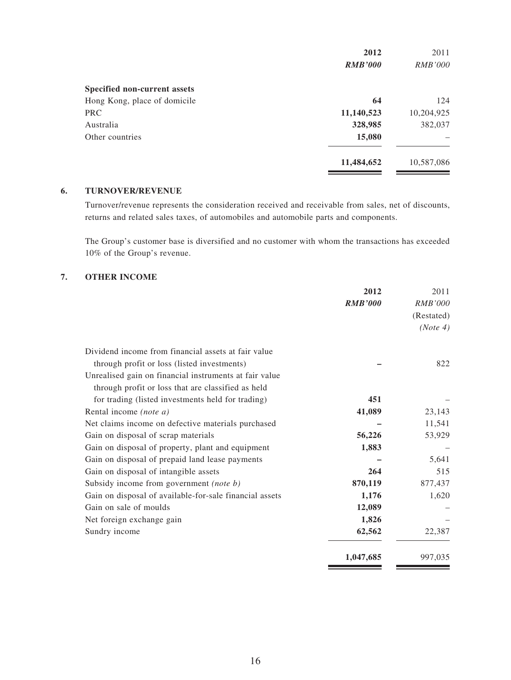|                              | 2012           | 2011           |
|------------------------------|----------------|----------------|
|                              | <b>RMB'000</b> | <i>RMB'000</i> |
| Specified non-current assets |                |                |
| Hong Kong, place of domicile | 64             | 124            |
| <b>PRC</b>                   | 11,140,523     | 10,204,925     |
| Australia                    | 328,985        | 382,037        |
| Other countries              | 15,080         |                |
|                              | 11,484,652     | 10,587,086     |

### **6. TURNOVER/REVENUE**

Turnover/revenue represents the consideration received and receivable from sales, net of discounts, returns and related sales taxes, of automobiles and automobile parts and components.

The Group's customer base is diversified and no customer with whom the transactions has exceeded 10% of the Group's revenue.

### **7. OTHER INCOME**

| 2012           |                                                         |
|----------------|---------------------------------------------------------|
| <b>RMB'000</b> |                                                         |
|                |                                                         |
|                |                                                         |
|                | Dividend income from financial assets at fair value     |
|                | through profit or loss (listed investments)             |
|                | Unrealised gain on financial instruments at fair value  |
|                | through profit or loss that are classified as held      |
| 451            | for trading (listed investments held for trading)       |
| 41,089         | Rental income (note a)                                  |
|                | Net claims income on defective materials purchased      |
| 56,226         | Gain on disposal of scrap materials                     |
| 1,883          | Gain on disposal of property, plant and equipment       |
|                | Gain on disposal of prepaid land lease payments         |
| 264            | Gain on disposal of intangible assets                   |
| 870,119        | Subsidy income from government (note b)                 |
| 1,176          | Gain on disposal of available-for-sale financial assets |
| 12,089         | Gain on sale of moulds                                  |
| 1,826          | Net foreign exchange gain                               |
| 62,562         | Sundry income                                           |
| 1,047,685      |                                                         |
|                |                                                         |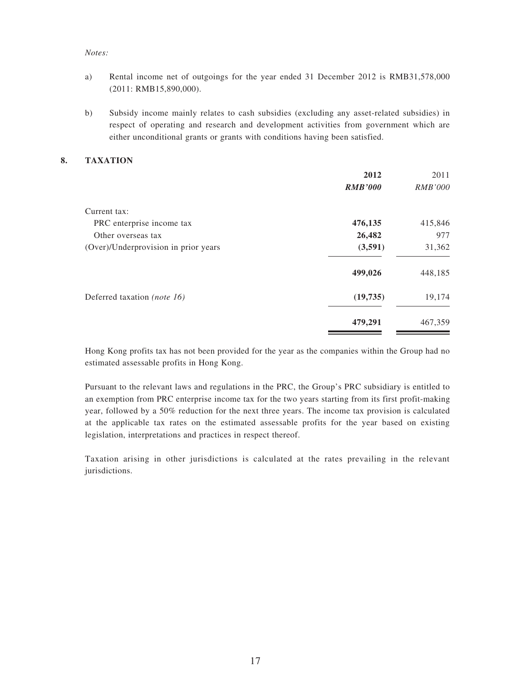#### *Notes:*

- a) Rental income net of outgoings for the year ended 31 December 2012 is RMB31,578,000 (2011: RMB15,890,000).
- b) Subsidy income mainly relates to cash subsidies (excluding any asset-related subsidies) in respect of operating and research and development activities from government which are either unconditional grants or grants with conditions having been satisfied.

#### **8. TAXATION**

|                                      | 2012           | 2011           |
|--------------------------------------|----------------|----------------|
|                                      | <b>RMB'000</b> | <i>RMB'000</i> |
| Current tax:                         |                |                |
| PRC enterprise income tax            | 476,135        | 415,846        |
| Other overseas tax                   | 26,482         | 977            |
| (Over)/Underprovision in prior years | (3,591)        | 31,362         |
|                                      | 499,026        | 448,185        |
| Deferred taxation (note 16)          | (19, 735)      | 19,174         |
|                                      | 479,291        | 467,359        |

Hong Kong profits tax has not been provided for the year as the companies within the Group had no estimated assessable profits in Hong Kong.

Pursuant to the relevant laws and regulations in the PRC, the Group's PRC subsidiary is entitled to an exemption from PRC enterprise income tax for the two years starting from its first profit-making year, followed by a 50% reduction for the next three years. The income tax provision is calculated at the applicable tax rates on the estimated assessable profits for the year based on existing legislation, interpretations and practices in respect thereof.

Taxation arising in other jurisdictions is calculated at the rates prevailing in the relevant jurisdictions.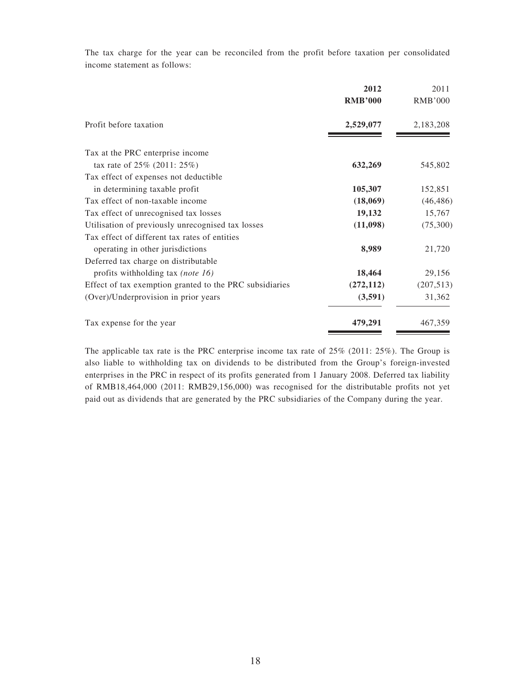The tax charge for the year can be reconciled from the profit before taxation per consolidated income statement as follows:

|                                                         | 2012<br><b>RMB'000</b> | 2011<br><b>RMB'000</b> |
|---------------------------------------------------------|------------------------|------------------------|
| Profit before taxation                                  | 2,529,077              | 2,183,208              |
| Tax at the PRC enterprise income                        |                        |                        |
| tax rate of $25\%$ (2011: $25\%$ )                      | 632,269                | 545,802                |
| Tax effect of expenses not deductible                   |                        |                        |
| in determining taxable profit                           | 105,307                | 152,851                |
| Tax effect of non-taxable income                        | (18,069)               | (46, 486)              |
| Tax effect of unrecognised tax losses                   | 19,132                 | 15,767                 |
| Utilisation of previously unrecognised tax losses       | (11,098)               | (75,300)               |
| Tax effect of different tax rates of entities           |                        |                        |
| operating in other jurisdictions                        | 8,989                  | 21,720                 |
| Deferred tax charge on distributable                    |                        |                        |
| profits withholding tax (note 16)                       | 18,464                 | 29,156                 |
| Effect of tax exemption granted to the PRC subsidiaries | (272, 112)             | (207, 513)             |
| (Over)/Underprovision in prior years                    | (3,591)                | 31,362                 |
| Tax expense for the year                                | 479,291                | 467,359                |

The applicable tax rate is the PRC enterprise income tax rate of 25% (2011: 25%). The Group is also liable to withholding tax on dividends to be distributed from the Group's foreign-invested enterprises in the PRC in respect of its profits generated from 1 January 2008. Deferred tax liability of RMB18,464,000 (2011: RMB29,156,000) was recognised for the distributable profits not yet paid out as dividends that are generated by the PRC subsidiaries of the Company during the year.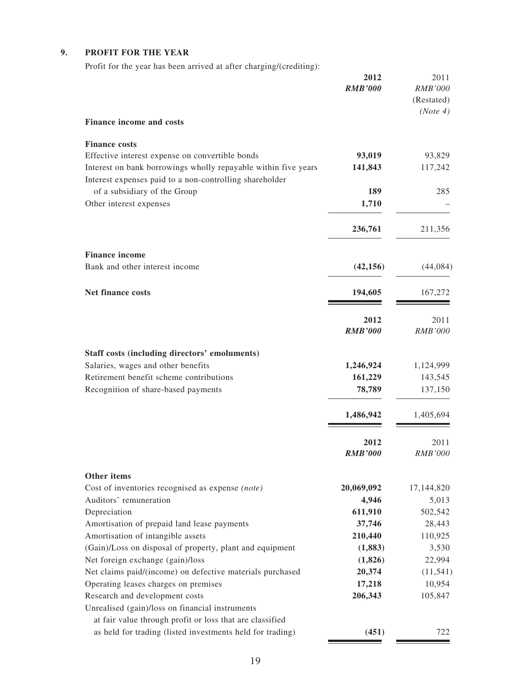## **9. PROFIT FOR THE YEAR**

Profit for the year has been arrived at after charging/(crediting):

|                                                                                                                           | 2012<br><b>RMB'000</b> | 2011<br><b>RMB'000</b><br>(Restated)<br>(Note 4) |
|---------------------------------------------------------------------------------------------------------------------------|------------------------|--------------------------------------------------|
| <b>Finance income and costs</b>                                                                                           |                        |                                                  |
| <b>Finance costs</b><br>Effective interest expense on convertible bonds                                                   | 93,019                 | 93,829                                           |
| Interest on bank borrowings wholly repayable within five years<br>Interest expenses paid to a non-controlling shareholder | 141,843                | 117,242                                          |
| of a subsidiary of the Group<br>Other interest expenses                                                                   | 189<br>1,710           | 285                                              |
|                                                                                                                           | 236,761                | 211,356                                          |
| <b>Finance income</b>                                                                                                     |                        |                                                  |
| Bank and other interest income                                                                                            | (42, 156)              | (44,084)                                         |
| <b>Net finance costs</b>                                                                                                  | 194,605                | 167,272                                          |
|                                                                                                                           | 2012<br><b>RMB'000</b> | 2011<br><b>RMB'000</b>                           |
| Staff costs (including directors' emoluments)                                                                             |                        |                                                  |
| Salaries, wages and other benefits                                                                                        | 1,246,924              | 1,124,999                                        |
| Retirement benefit scheme contributions<br>Recognition of share-based payments                                            | 161,229<br>78,789      | 143,545<br>137,150                               |
|                                                                                                                           | 1,486,942              | 1,405,694                                        |
|                                                                                                                           | 2012<br><b>RMB'000</b> | 2011<br><b>RMB'000</b>                           |
| Other items<br>Cost of inventories recognised as expense (note)                                                           | 20,069,092             | 17,144,820                                       |
| Auditors' remuneration                                                                                                    | 4,946                  | 5,013                                            |
| Depreciation                                                                                                              | 611,910                | 502,542                                          |
| Amortisation of prepaid land lease payments                                                                               | 37,746                 | 28,443                                           |
| Amortisation of intangible assets                                                                                         | 210,440                | 110,925                                          |
| (Gain)/Loss on disposal of property, plant and equipment                                                                  | (1,883)                | 3,530                                            |
| Net foreign exchange (gain)/loss<br>Net claims paid/(income) on defective materials purchased                             | (1,826)<br>20,374      | 22,994<br>(11, 541)                              |
| Operating leases charges on premises                                                                                      | 17,218                 | 10,954                                           |
| Research and development costs                                                                                            | 206,343                | 105,847                                          |
| Unrealised (gain)/loss on financial instruments                                                                           |                        |                                                  |
| at fair value through profit or loss that are classified                                                                  |                        |                                                  |
| as held for trading (listed investments held for trading)                                                                 | (451)                  | 722                                              |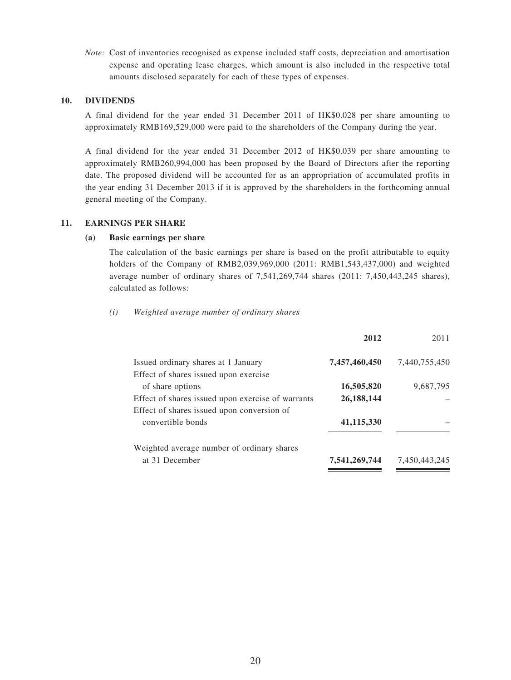*Note:* Cost of inventories recognised as expense included staff costs, depreciation and amortisation expense and operating lease charges, which amount is also included in the respective total amounts disclosed separately for each of these types of expenses.

#### **10. DIVIDENDS**

A final dividend for the year ended 31 December 2011 of HK\$0.028 per share amounting to approximately RMB169,529,000 were paid to the shareholders of the Company during the year.

A final dividend for the year ended 31 December 2012 of HK\$0.039 per share amounting to approximately RMB260,994,000 has been proposed by the Board of Directors after the reporting date. The proposed dividend will be accounted for as an appropriation of accumulated profits in the year ending 31 December 2013 if it is approved by the shareholders in the forthcoming annual general meeting of the Company.

#### **11. EARNINGS PER SHARE**

#### **(a) Basic earnings per share**

The calculation of the basic earnings per share is based on the profit attributable to equity holders of the Company of RMB2,039,969,000 (2011: RMB1,543,437,000) and weighted average number of ordinary shares of 7,541,269,744 shares (2011: 7,450,443,245 shares), calculated as follows:

#### *(i) Weighted average number of ordinary shares*

| 2012          | 2011          |
|---------------|---------------|
| 7,457,460,450 | 7.440.755.450 |
|               |               |
| 16,505,820    | 9,687,795     |
| 26,188,144    |               |
|               |               |
| 41,115,330    |               |
|               |               |
| 7,541,269,744 | 7,450,443,245 |
|               |               |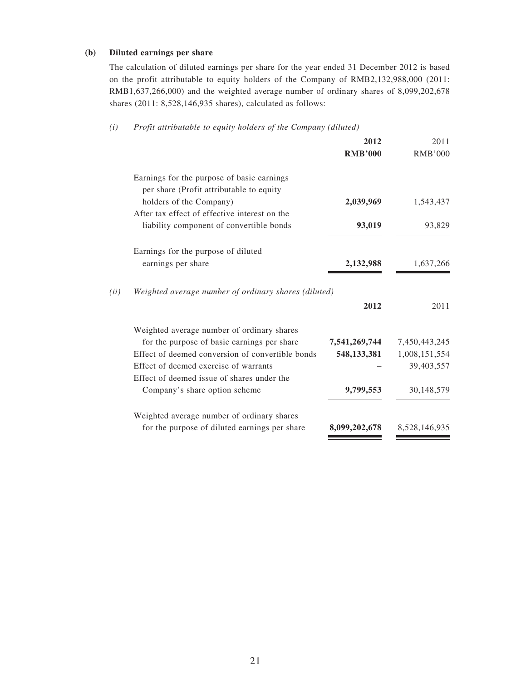### **(b) Diluted earnings per share**

The calculation of diluted earnings per share for the year ended 31 December 2012 is based on the profit attributable to equity holders of the Company of RMB2,132,988,000 (2011: RMB1,637,266,000) and the weighted average number of ordinary shares of 8,099,202,678 shares (2011: 8,528,146,935 shares), calculated as follows:

#### *(i) Profit attributable to equity holders of the Company (diluted)*

|      |                                                                                        | 2012           | 2011           |
|------|----------------------------------------------------------------------------------------|----------------|----------------|
|      |                                                                                        | <b>RMB'000</b> | <b>RMB'000</b> |
|      | Earnings for the purpose of basic earnings<br>per share (Profit attributable to equity |                |                |
|      | holders of the Company)                                                                | 2,039,969      | 1,543,437      |
|      | After tax effect of effective interest on the                                          |                |                |
|      | liability component of convertible bonds                                               | 93,019         | 93,829         |
|      | Earnings for the purpose of diluted                                                    |                |                |
|      | earnings per share                                                                     | 2,132,988      | 1,637,266      |
| (ii) | Weighted average number of ordinary shares (diluted)                                   |                |                |
|      |                                                                                        | 2012           | 2011           |
|      | Weighted average number of ordinary shares                                             |                |                |
|      | for the purpose of basic earnings per share                                            | 7,541,269,744  | 7,450,443,245  |
|      | Effect of deemed conversion of convertible bonds                                       | 548, 133, 381  | 1,008,151,554  |
|      | Effect of deemed exercise of warrants                                                  |                | 39,403,557     |
|      | Effect of deemed issue of shares under the                                             |                |                |
|      | Company's share option scheme                                                          | 9,799,553      | 30,148,579     |
|      | Weighted average number of ordinary shares                                             |                |                |
|      | for the purpose of diluted earnings per share                                          | 8,099,202,678  | 8,528,146,935  |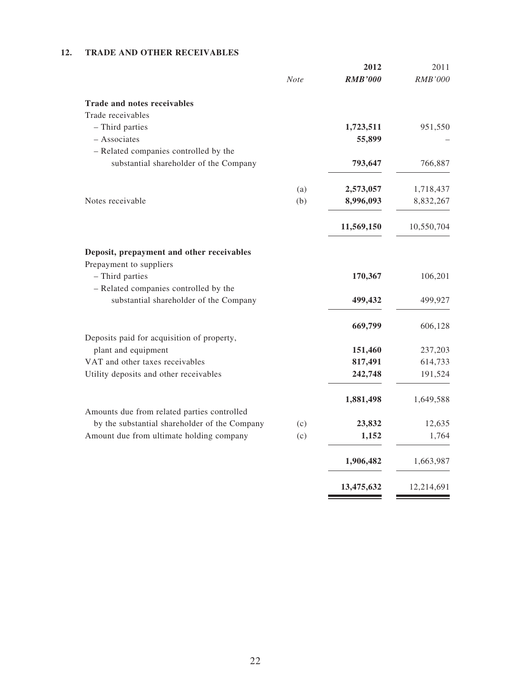### **12. TRADE AND OTHER RECEIVABLES**

|             | 2012           | 2011                                                    |
|-------------|----------------|---------------------------------------------------------|
| <b>Note</b> | <b>RMB'000</b> | <b>RMB'000</b>                                          |
|             |                |                                                         |
|             |                |                                                         |
|             | 1,723,511      | 951,550                                                 |
|             | 55,899         |                                                         |
|             |                |                                                         |
|             | 793,647        | 766,887                                                 |
|             |                | 1,718,437                                               |
| (b)         | 8,996,093      | 8,832,267                                               |
|             |                | 10,550,704                                              |
|             |                |                                                         |
|             |                |                                                         |
|             |                |                                                         |
|             |                | 106,201                                                 |
|             |                |                                                         |
|             |                | 499,927                                                 |
|             | 669,799        | 606,128                                                 |
|             |                |                                                         |
|             | 151,460        | 237,203                                                 |
|             | 817,491        | 614,733                                                 |
|             | 242,748        | 191,524                                                 |
|             | 1,881,498      | 1,649,588                                               |
|             |                |                                                         |
| (c)         |                | 12,635                                                  |
| (c)         | 1,152          | 1,764                                                   |
|             | 1,906,482      | 1,663,987                                               |
|             | 13,475,632     | 12,214,691                                              |
|             | (a)            | 2,573,057<br>11,569,150<br>170,367<br>499,432<br>23,832 |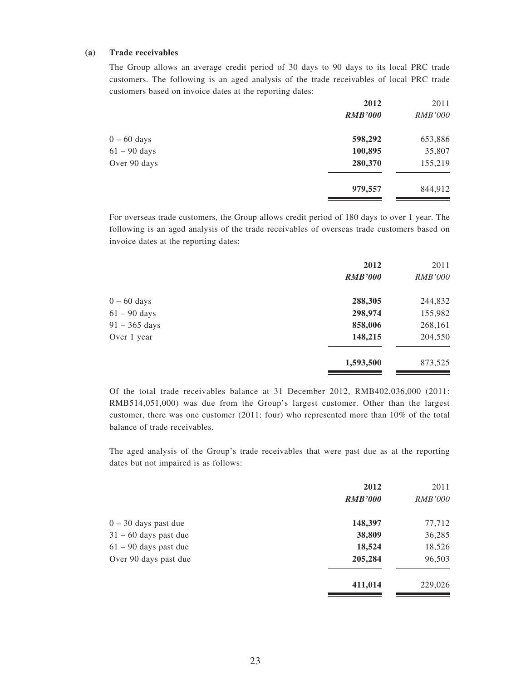#### **(a) Trade receivables**

The Group allows an average credit period of 30 days to 90 days to its local PRC trade customers. The following is an aged analysis of the trade receivables of local PRC trade customers based on invoice dates at the reporting dates:

|                | 2012           | 2011           |
|----------------|----------------|----------------|
|                | <b>RMB'000</b> | <i>RMB'000</i> |
| $0 - 60$ days  | 598,292        | 653,886        |
| $61 - 90$ days | 100,895        | 35,807         |
| Over 90 days   | 280,370        | 155,219        |
|                | 979,557        | 844,912        |
|                |                |                |

For overseas trade customers, the Group allows credit period of 180 days to over 1 year. The following is an aged analysis of the trade receivables of overseas trade customers based on invoice dates at the reporting dates:

|                         | 2012           | 2011           |
|-------------------------|----------------|----------------|
|                         | <b>RMB'000</b> | <b>RMB'000</b> |
| $0 - 60$ days           | 288,305        | 244,832        |
| $61 - 90$ days          | 298,974        | 155,982        |
| $91 - 365 \text{ days}$ | 858,006        | 268,161        |
| Over 1 year             | 148,215        | 204,550        |
|                         | 1,593,500      | 873,525        |

Of the total trade receivables balance at 31 December 2012, RMB402,036,000 (2011: RMB514,051,000) was due from the Group's largest customer. Other than the largest customer, there was one customer (2011: four) who represented more than 10% of the total balance of trade receivables.

The aged analysis of the Group's trade receivables that were past due as at the reporting dates but not impaired is as follows:

|                         | 2012           | 2011           |
|-------------------------|----------------|----------------|
|                         | <b>RMB'000</b> | <b>RMB'000</b> |
| $0 - 30$ days past due  | 148,397        | 77,712         |
| $31 - 60$ days past due | 38,809         | 36,285         |
| $61 - 90$ days past due | 18,524         | 18,526         |
| Over 90 days past due   | 205,284        | 96,503         |
|                         | 411,014        | 229,026        |
|                         |                |                |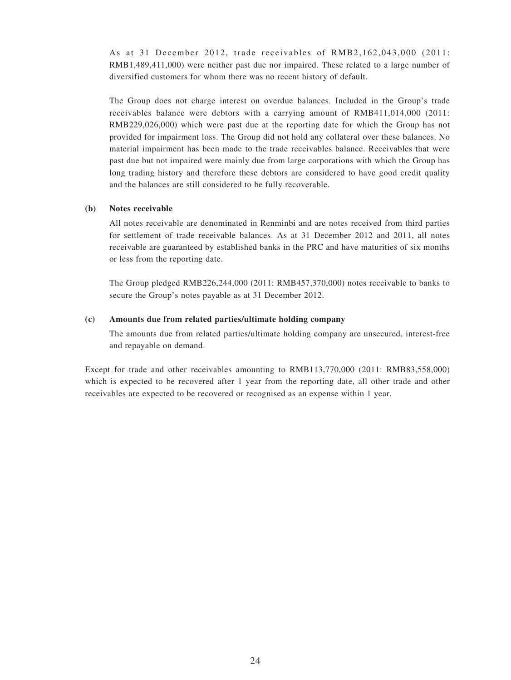As at 31 December 2012, trade receivables of RMB2,162,043,000 (2011: RMB1,489,411,000) were neither past due nor impaired. These related to a large number of diversified customers for whom there was no recent history of default.

The Group does not charge interest on overdue balances. Included in the Group's trade receivables balance were debtors with a carrying amount of RMB411,014,000 (2011: RMB229,026,000) which were past due at the reporting date for which the Group has not provided for impairment loss. The Group did not hold any collateral over these balances. No material impairment has been made to the trade receivables balance. Receivables that were past due but not impaired were mainly due from large corporations with which the Group has long trading history and therefore these debtors are considered to have good credit quality and the balances are still considered to be fully recoverable.

#### **(b) Notes receivable**

All notes receivable are denominated in Renminbi and are notes received from third parties for settlement of trade receivable balances. As at 31 December 2012 and 2011, all notes receivable are guaranteed by established banks in the PRC and have maturities of six months or less from the reporting date.

The Group pledged RMB226,244,000 (2011: RMB457,370,000) notes receivable to banks to secure the Group's notes payable as at 31 December 2012.

#### **(c) Amounts due from related parties/ultimate holding company**

The amounts due from related parties/ultimate holding company are unsecured, interest-free and repayable on demand.

Except for trade and other receivables amounting to RMB113,770,000 (2011: RMB83,558,000) which is expected to be recovered after 1 year from the reporting date, all other trade and other receivables are expected to be recovered or recognised as an expense within 1 year.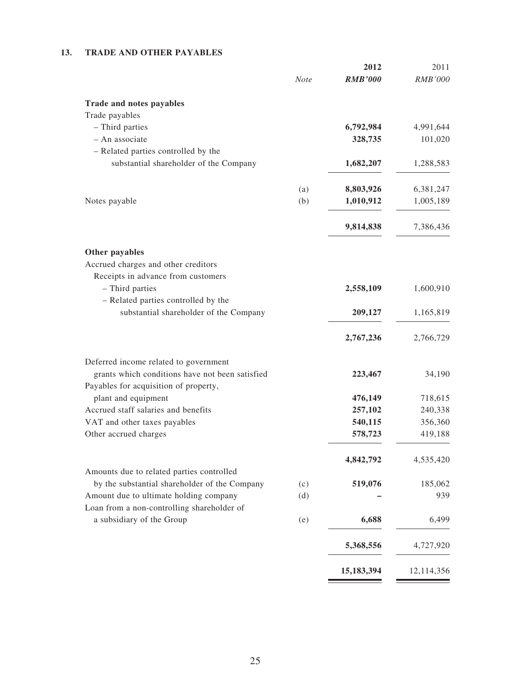### **13. TRADE AND OTHER PAYABLES**

| <b>RMB'000</b><br><b>RMB'000</b><br><b>Note</b><br>Trade and notes payables<br>Trade payables<br>- Third parties<br>6,792,984<br>4,991,644<br>- An associate<br>328,735<br>101,020<br>- Related parties controlled by the<br>substantial shareholder of the Company<br>1,682,207<br>1,288,583<br>8,803,926<br>6,381,247<br>(a)<br>(b)<br>1,010,912<br>Notes payable<br>1,005,189<br>9,814,838<br>7,386,436<br>Other payables<br>Accrued charges and other creditors |
|---------------------------------------------------------------------------------------------------------------------------------------------------------------------------------------------------------------------------------------------------------------------------------------------------------------------------------------------------------------------------------------------------------------------------------------------------------------------|
|                                                                                                                                                                                                                                                                                                                                                                                                                                                                     |
|                                                                                                                                                                                                                                                                                                                                                                                                                                                                     |
|                                                                                                                                                                                                                                                                                                                                                                                                                                                                     |
|                                                                                                                                                                                                                                                                                                                                                                                                                                                                     |
|                                                                                                                                                                                                                                                                                                                                                                                                                                                                     |
|                                                                                                                                                                                                                                                                                                                                                                                                                                                                     |
|                                                                                                                                                                                                                                                                                                                                                                                                                                                                     |
|                                                                                                                                                                                                                                                                                                                                                                                                                                                                     |
|                                                                                                                                                                                                                                                                                                                                                                                                                                                                     |
|                                                                                                                                                                                                                                                                                                                                                                                                                                                                     |
|                                                                                                                                                                                                                                                                                                                                                                                                                                                                     |
|                                                                                                                                                                                                                                                                                                                                                                                                                                                                     |
| Receipts in advance from customers                                                                                                                                                                                                                                                                                                                                                                                                                                  |
| - Third parties<br>2,558,109<br>1,600,910                                                                                                                                                                                                                                                                                                                                                                                                                           |
| - Related parties controlled by the<br>substantial shareholder of the Company<br>209,127<br>1,165,819                                                                                                                                                                                                                                                                                                                                                               |
|                                                                                                                                                                                                                                                                                                                                                                                                                                                                     |
| 2,767,236<br>2,766,729                                                                                                                                                                                                                                                                                                                                                                                                                                              |
| Deferred income related to government                                                                                                                                                                                                                                                                                                                                                                                                                               |
| grants which conditions have not been satisfied<br>223,467<br>34,190                                                                                                                                                                                                                                                                                                                                                                                                |
| Payables for acquisition of property,                                                                                                                                                                                                                                                                                                                                                                                                                               |
| plant and equipment<br>476,149<br>718,615                                                                                                                                                                                                                                                                                                                                                                                                                           |
| Accrued staff salaries and benefits<br>257,102<br>240,338<br>540,115<br>VAT and other taxes payables<br>356,360                                                                                                                                                                                                                                                                                                                                                     |
| 578,723<br>419,188<br>Other accrued charges                                                                                                                                                                                                                                                                                                                                                                                                                         |
|                                                                                                                                                                                                                                                                                                                                                                                                                                                                     |
| 4,842,792<br>4,535,420                                                                                                                                                                                                                                                                                                                                                                                                                                              |
| Amounts due to related parties controlled                                                                                                                                                                                                                                                                                                                                                                                                                           |
| by the substantial shareholder of the Company<br>185,062<br>519,076<br>(c)                                                                                                                                                                                                                                                                                                                                                                                          |
| Amount due to ultimate holding company<br>(d)<br>Loan from a non-controlling shareholder of                                                                                                                                                                                                                                                                                                                                                                         |
| 6,688<br>a subsidiary of the Group<br>6,499<br>(e)                                                                                                                                                                                                                                                                                                                                                                                                                  |
|                                                                                                                                                                                                                                                                                                                                                                                                                                                                     |
| 5,368,556<br>4,727,920                                                                                                                                                                                                                                                                                                                                                                                                                                              |
| 15,183,394<br>12,114,356                                                                                                                                                                                                                                                                                                                                                                                                                                            |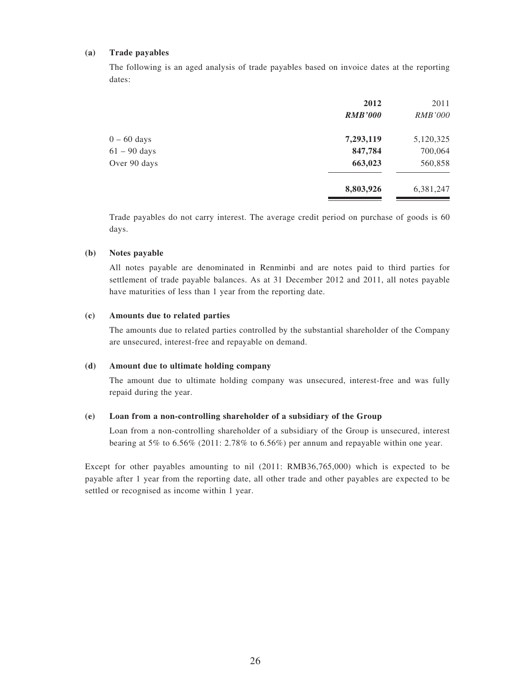#### **(a) Trade payables**

The following is an aged analysis of trade payables based on invoice dates at the reporting dates:

|                | 2012           | 2011           |
|----------------|----------------|----------------|
|                | <b>RMB'000</b> | <i>RMB'000</i> |
| $0 - 60$ days  | 7,293,119      | 5,120,325      |
| $61 - 90$ days | 847,784        | 700,064        |
| Over 90 days   | 663,023        | 560,858        |
|                | 8,803,926      | 6,381,247      |
|                |                |                |

Trade payables do not carry interest. The average credit period on purchase of goods is 60 days.

#### **(b) Notes payable**

All notes payable are denominated in Renminbi and are notes paid to third parties for settlement of trade payable balances. As at 31 December 2012 and 2011, all notes payable have maturities of less than 1 year from the reporting date.

#### **(c) Amounts due to related parties**

The amounts due to related parties controlled by the substantial shareholder of the Company are unsecured, interest-free and repayable on demand.

### **(d) Amount due to ultimate holding company**

The amount due to ultimate holding company was unsecured, interest-free and was fully repaid during the year.

#### **(e) Loan from a non-controlling shareholder of a subsidiary of the Group**

Loan from a non-controlling shareholder of a subsidiary of the Group is unsecured, interest bearing at 5% to 6.56% (2011: 2.78% to 6.56%) per annum and repayable within one year.

Except for other payables amounting to nil (2011: RMB36,765,000) which is expected to be payable after 1 year from the reporting date, all other trade and other payables are expected to be settled or recognised as income within 1 year.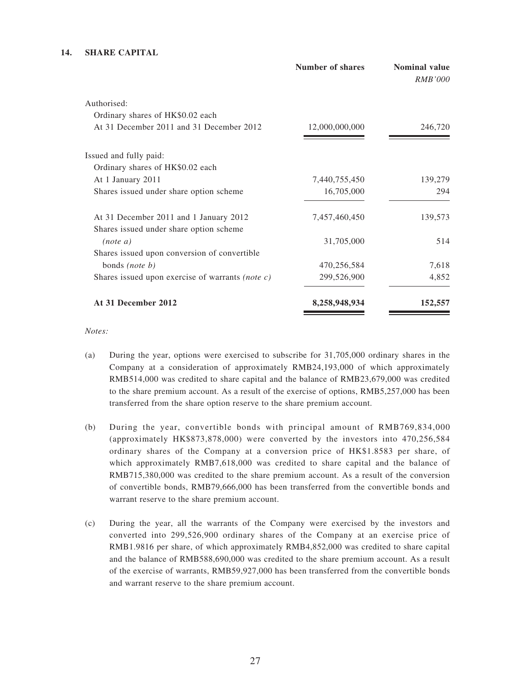#### **14. SHARE CAPITAL**

|                                                     | <b>Number of shares</b> | <b>Nominal value</b><br><b>RMB'000</b> |
|-----------------------------------------------------|-------------------------|----------------------------------------|
| Authorised:                                         |                         |                                        |
| Ordinary shares of HK\$0.02 each                    |                         |                                        |
| At 31 December 2011 and 31 December 2012            | 12,000,000,000          | 246,720                                |
| Issued and fully paid:                              |                         |                                        |
| Ordinary shares of HK\$0.02 each                    |                         |                                        |
| At 1 January 2011                                   | 7,440,755,450           | 139,279                                |
| Shares issued under share option scheme             | 16,705,000              | 294                                    |
| At 31 December 2011 and 1 January 2012              | 7,457,460,450           | 139,573                                |
| Shares issued under share option scheme             |                         |                                        |
| (note a)                                            | 31,705,000              | 514                                    |
| Shares issued upon conversion of convertible        |                         |                                        |
| bonds (note b)                                      | 470,256,584             | 7,618                                  |
| Shares issued upon exercise of warrants (note $c$ ) | 299,526,900             | 4,852                                  |
| At 31 December 2012                                 | 8,258,948,934           | 152,557                                |

*Notes:*

- (a) During the year, options were exercised to subscribe for 31,705,000 ordinary shares in the Company at a consideration of approximately RMB24,193,000 of which approximately RMB514,000 was credited to share capital and the balance of RMB23,679,000 was credited to the share premium account. As a result of the exercise of options, RMB5,257,000 has been transferred from the share option reserve to the share premium account.
- (b) During the year, convertible bonds with principal amount of RMB769,834,000 (approximately HK\$873,878,000) were converted by the investors into 470,256,584 ordinary shares of the Company at a conversion price of HK\$1.8583 per share, of which approximately RMB7,618,000 was credited to share capital and the balance of RMB715,380,000 was credited to the share premium account. As a result of the conversion of convertible bonds, RMB79,666,000 has been transferred from the convertible bonds and warrant reserve to the share premium account.
- (c) During the year, all the warrants of the Company were exercised by the investors and converted into 299,526,900 ordinary shares of the Company at an exercise price of RMB1.9816 per share, of which approximately RMB4,852,000 was credited to share capital and the balance of RMB588,690,000 was credited to the share premium account. As a result of the exercise of warrants, RMB59,927,000 has been transferred from the convertible bonds and warrant reserve to the share premium account.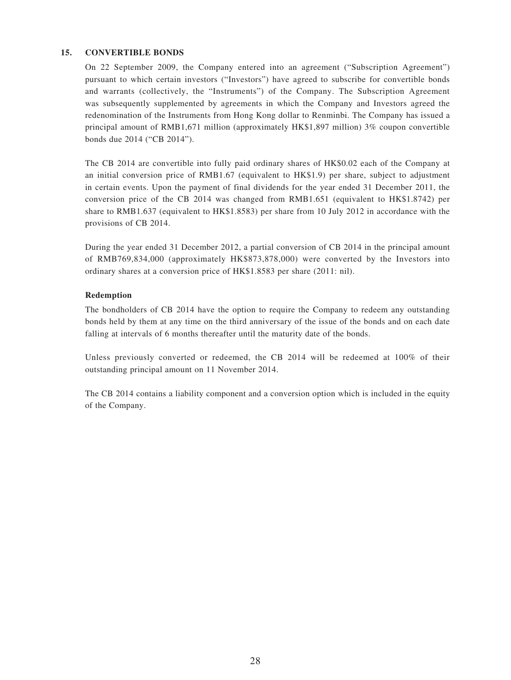#### **15. CONVERTIBLE BONDS**

On 22 September 2009, the Company entered into an agreement ("Subscription Agreement") pursuant to which certain investors ("Investors") have agreed to subscribe for convertible bonds and warrants (collectively, the "Instruments") of the Company. The Subscription Agreement was subsequently supplemented by agreements in which the Company and Investors agreed the redenomination of the Instruments from Hong Kong dollar to Renminbi. The Company has issued a principal amount of RMB1,671 million (approximately HK\$1,897 million) 3% coupon convertible bonds due 2014 ("CB 2014").

The CB 2014 are convertible into fully paid ordinary shares of HK\$0.02 each of the Company at an initial conversion price of RMB1.67 (equivalent to HK\$1.9) per share, subject to adjustment in certain events. Upon the payment of final dividends for the year ended 31 December 2011, the conversion price of the CB 2014 was changed from RMB1.651 (equivalent to HK\$1.8742) per share to RMB1.637 (equivalent to HK\$1.8583) per share from 10 July 2012 in accordance with the provisions of CB 2014.

During the year ended 31 December 2012, a partial conversion of CB 2014 in the principal amount of RMB769,834,000 (approximately HK\$873,878,000) were converted by the Investors into ordinary shares at a conversion price of HK\$1.8583 per share (2011: nil).

#### **Redemption**

The bondholders of CB 2014 have the option to require the Company to redeem any outstanding bonds held by them at any time on the third anniversary of the issue of the bonds and on each date falling at intervals of 6 months thereafter until the maturity date of the bonds.

Unless previously converted or redeemed, the CB 2014 will be redeemed at 100% of their outstanding principal amount on 11 November 2014.

The CB 2014 contains a liability component and a conversion option which is included in the equity of the Company.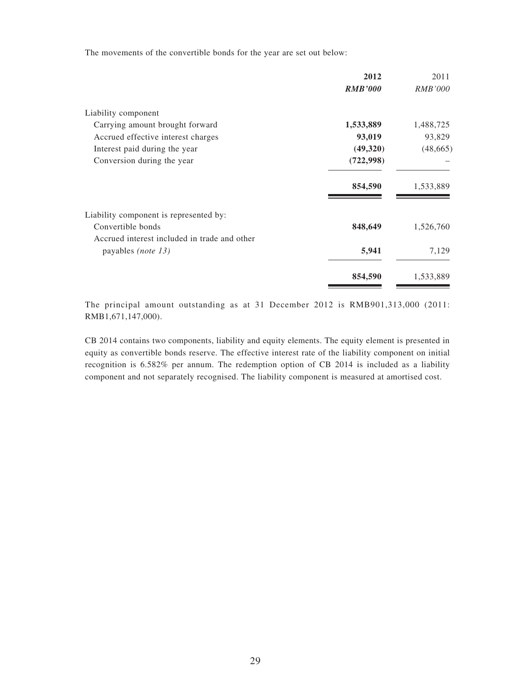The movements of the convertible bonds for the year are set out below:

| 2012           | 2011           |
|----------------|----------------|
| <b>RMB'000</b> | <i>RMB'000</i> |
|                |                |
| 1,533,889      | 1,488,725      |
| 93,019         | 93,829         |
| (49,320)       | (48, 665)      |
| (722, 998)     |                |
| 854,590        | 1,533,889      |
|                |                |
| 848,649        | 1,526,760      |
|                |                |
| 5,941          | 7,129          |
| 854,590        | 1,533,889      |
|                |                |

The principal amount outstanding as at 31 December 2012 is RMB901,313,000 (2011: RMB1,671,147,000).

CB 2014 contains two components, liability and equity elements. The equity element is presented in equity as convertible bonds reserve. The effective interest rate of the liability component on initial recognition is 6.582% per annum. The redemption option of CB 2014 is included as a liability component and not separately recognised. The liability component is measured at amortised cost.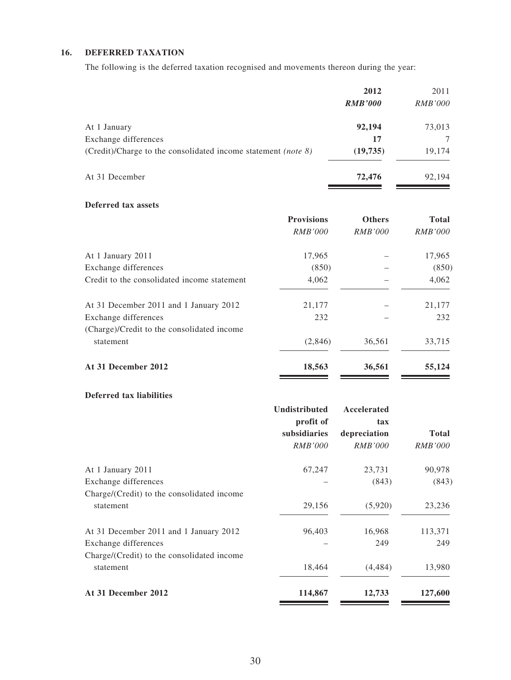### **16. DEFERRED TAXATION**

The following is the deferred taxation recognised and movements thereon during the year:

|                                                                               | 2012           | 2011           |
|-------------------------------------------------------------------------------|----------------|----------------|
|                                                                               | <b>RMB'000</b> | <i>RMB'000</i> |
| At 1 January                                                                  | 92,194         | 73,013         |
| Exchange differences                                                          | 17             |                |
| (Credit)/Charge to the consolidated income statement ( <i>note</i> $\delta$ ) | (19, 735)      | 19,174         |
| At 31 December                                                                | 72,476         | 92,194         |

#### **Deferred tax assets**

|                                             | <b>Provisions</b> | <b>Others</b>  | <b>Total</b>   |
|---------------------------------------------|-------------------|----------------|----------------|
|                                             | <i>RMB'000</i>    | <i>RMB'000</i> | <i>RMB'000</i> |
| At 1 January 2011                           | 17,965            |                | 17,965         |
| Exchange differences                        | (850)             |                | (850)          |
| Credit to the consolidated income statement | 4,062             |                | 4,062          |
| At 31 December 2011 and 1 January 2012      | 21,177            |                | 21,177         |
| Exchange differences                        | 232               |                | 232            |
| (Charge)/Credit to the consolidated income  |                   |                |                |
| statement                                   | (2,846)           | 36,561         | 33,715         |
| At 31 December 2012                         | 18,563            | 36,561         | 55,124         |
|                                             |                   |                |                |

### **Deferred tax liabilities**

|                                                         | Undistributed<br>profit of<br>subsidiaries<br><i>RMB'000</i> | Accelerated<br>tax<br>depreciation<br><i>RMB'000</i> | <b>Total</b><br><i>RMB'000</i> |
|---------------------------------------------------------|--------------------------------------------------------------|------------------------------------------------------|--------------------------------|
| At 1 January 2011                                       | 67,247                                                       | 23,731                                               | 90,978                         |
| Exchange differences                                    |                                                              | (843)                                                | (843)                          |
| Charge/(Credit) to the consolidated income<br>statement | 29,156                                                       | (5,920)                                              | 23,236                         |
| At 31 December 2011 and 1 January 2012                  | 96,403                                                       | 16,968                                               | 113,371                        |
| Exchange differences                                    |                                                              | 249                                                  | 249                            |
| Charge/(Credit) to the consolidated income<br>statement | 18,464                                                       | (4, 484)                                             | 13,980                         |
| At 31 December 2012                                     | 114,867                                                      | 12,733                                               | 127,600                        |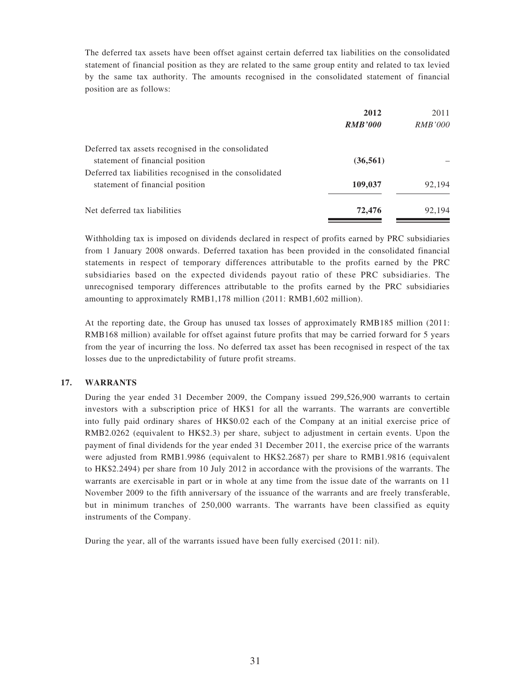The deferred tax assets have been offset against certain deferred tax liabilities on the consolidated statement of financial position as they are related to the same group entity and related to tax levied by the same tax authority. The amounts recognised in the consolidated statement of financial position are as follows:

|                                                         | 2012           | 2011           |
|---------------------------------------------------------|----------------|----------------|
|                                                         | <b>RMB'000</b> | <i>RMB'000</i> |
| Deferred tax assets recognised in the consolidated      |                |                |
| statement of financial position                         | (36, 561)      |                |
| Deferred tax liabilities recognised in the consolidated |                |                |
| statement of financial position                         | 109,037        | 92,194         |
| Net deferred tax liabilities                            | 72,476         | 92.194         |

Withholding tax is imposed on dividends declared in respect of profits earned by PRC subsidiaries from 1 January 2008 onwards. Deferred taxation has been provided in the consolidated financial statements in respect of temporary differences attributable to the profits earned by the PRC subsidiaries based on the expected dividends payout ratio of these PRC subsidiaries. The unrecognised temporary differences attributable to the profits earned by the PRC subsidiaries amounting to approximately RMB1,178 million (2011: RMB1,602 million).

At the reporting date, the Group has unused tax losses of approximately RMB185 million (2011: RMB168 million) available for offset against future profits that may be carried forward for 5 years from the year of incurring the loss. No deferred tax asset has been recognised in respect of the tax losses due to the unpredictability of future profit streams.

#### **17. WARRANTS**

During the year ended 31 December 2009, the Company issued 299,526,900 warrants to certain investors with a subscription price of HK\$1 for all the warrants. The warrants are convertible into fully paid ordinary shares of HK\$0.02 each of the Company at an initial exercise price of RMB2.0262 (equivalent to HK\$2.3) per share, subject to adjustment in certain events. Upon the payment of final dividends for the year ended 31 December 2011, the exercise price of the warrants were adjusted from RMB1.9986 (equivalent to HK\$2.2687) per share to RMB1.9816 (equivalent to HK\$2.2494) per share from 10 July 2012 in accordance with the provisions of the warrants. The warrants are exercisable in part or in whole at any time from the issue date of the warrants on 11 November 2009 to the fifth anniversary of the issuance of the warrants and are freely transferable, but in minimum tranches of 250,000 warrants. The warrants have been classified as equity instruments of the Company.

During the year, all of the warrants issued have been fully exercised (2011: nil).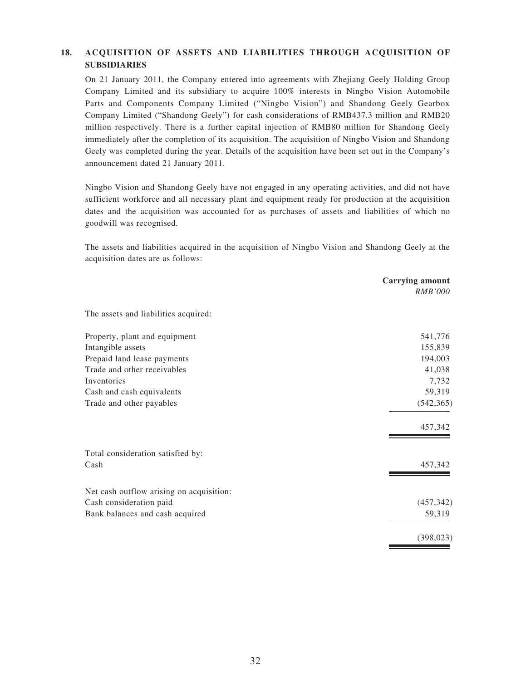### **18. ACQUISITION OF ASSETS AND LIABILITIES THROUGH ACQUISITION OF SUBSIDIARIES**

On 21 January 2011, the Company entered into agreements with Zhejiang Geely Holding Group Company Limited and its subsidiary to acquire 100% interests in Ningbo Vision Automobile Parts and Components Company Limited ("Ningbo Vision") and Shandong Geely Gearbox Company Limited ("Shandong Geely") for cash considerations of RMB437.3 million and RMB20 million respectively. There is a further capital injection of RMB80 million for Shandong Geely immediately after the completion of its acquisition. The acquisition of Ningbo Vision and Shandong Geely was completed during the year. Details of the acquisition have been set out in the Company's announcement dated 21 January 2011.

Ningbo Vision and Shandong Geely have not engaged in any operating activities, and did not have sufficient workforce and all necessary plant and equipment ready for production at the acquisition dates and the acquisition was accounted for as purchases of assets and liabilities of which no goodwill was recognised.

The assets and liabilities acquired in the acquisition of Ningbo Vision and Shandong Geely at the acquisition dates are as follows:

|                                          | <b>Carrying amount</b><br><i>RMB'000</i> |
|------------------------------------------|------------------------------------------|
| The assets and liabilities acquired:     |                                          |
| Property, plant and equipment            | 541,776                                  |
| Intangible assets                        | 155,839                                  |
| Prepaid land lease payments              | 194,003                                  |
| Trade and other receivables              | 41,038                                   |
| Inventories                              | 7,732                                    |
| Cash and cash equivalents                | 59,319                                   |
| Trade and other payables                 | (542, 365)                               |
|                                          | 457,342                                  |
| Total consideration satisfied by:        |                                          |
| Cash                                     | 457,342                                  |
| Net cash outflow arising on acquisition: |                                          |
| Cash consideration paid                  | (457, 342)                               |
| Bank balances and cash acquired          | 59,319                                   |
|                                          | (398, 023)                               |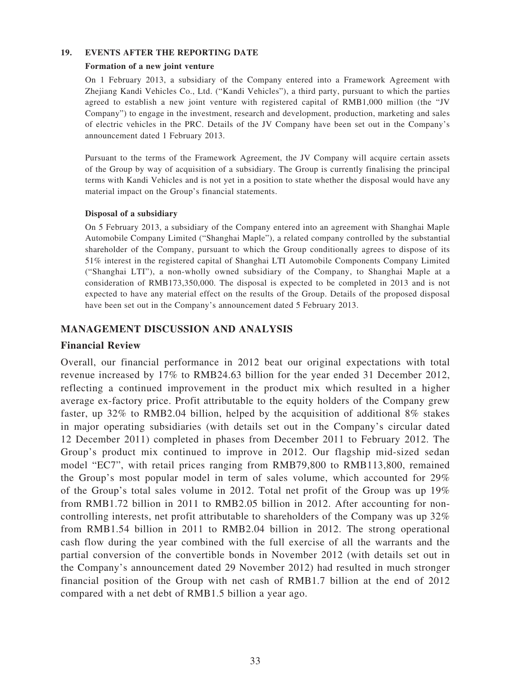### **19. EVENTS AFTER THE REPORTING DATE**

### **Formation of a new joint venture**

On 1 February 2013, a subsidiary of the Company entered into a Framework Agreement with Zhejiang Kandi Vehicles Co., Ltd. ("Kandi Vehicles"), a third party, pursuant to which the parties agreed to establish a new joint venture with registered capital of RMB1,000 million (the "JV Company") to engage in the investment, research and development, production, marketing and sales of electric vehicles in the PRC. Details of the JV Company have been set out in the Company's announcement dated 1 February 2013.

Pursuant to the terms of the Framework Agreement, the JV Company will acquire certain assets of the Group by way of acquisition of a subsidiary. The Group is currently finalising the principal terms with Kandi Vehicles and is not yet in a position to state whether the disposal would have any material impact on the Group's financial statements.

### **Disposal of a subsidiary**

On 5 February 2013, a subsidiary of the Company entered into an agreement with Shanghai Maple Automobile Company Limited ("Shanghai Maple"), a related company controlled by the substantial shareholder of the Company, pursuant to which the Group conditionally agrees to dispose of its 51% interest in the registered capital of Shanghai LTI Automobile Components Company Limited ("Shanghai LTI"), a non-wholly owned subsidiary of the Company, to Shanghai Maple at a consideration of RMB173,350,000. The disposal is expected to be completed in 2013 and is not expected to have any material effect on the results of the Group. Details of the proposed disposal have been set out in the Company's announcement dated 5 February 2013.

## **MANAGEMENT DISCUSSION AND ANALYSIS**

### **Financial Review**

Overall, our financial performance in 2012 beat our original expectations with total revenue increased by 17% to RMB24.63 billion for the year ended 31 December 2012, reflecting a continued improvement in the product mix which resulted in a higher average ex-factory price. Profit attributable to the equity holders of the Company grew faster, up 32% to RMB2.04 billion, helped by the acquisition of additional 8% stakes in major operating subsidiaries (with details set out in the Company's circular dated 12 December 2011) completed in phases from December 2011 to February 2012. The Group's product mix continued to improve in 2012. Our flagship mid-sized sedan model "EC7", with retail prices ranging from RMB79,800 to RMB113,800, remained the Group's most popular model in term of sales volume, which accounted for 29% of the Group's total sales volume in 2012. Total net profit of the Group was up 19% from RMB1.72 billion in 2011 to RMB2.05 billion in 2012. After accounting for noncontrolling interests, net profit attributable to shareholders of the Company was up 32% from RMB1.54 billion in 2011 to RMB2.04 billion in 2012. The strong operational cash flow during the year combined with the full exercise of all the warrants and the partial conversion of the convertible bonds in November 2012 (with details set out in the Company's announcement dated 29 November 2012) had resulted in much stronger financial position of the Group with net cash of RMB1.7 billion at the end of 2012 compared with a net debt of RMB1.5 billion a year ago.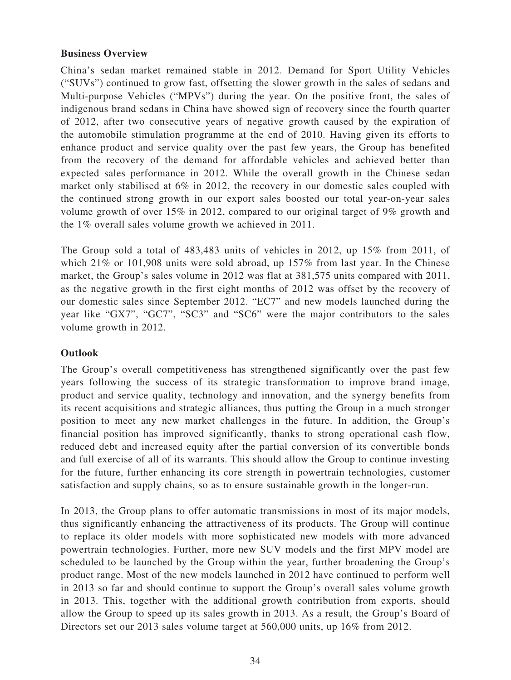## **Business Overview**

China's sedan market remained stable in 2012. Demand for Sport Utility Vehicles ("SUVs") continued to grow fast, offsetting the slower growth in the sales of sedans and Multi-purpose Vehicles ("MPVs") during the year. On the positive front, the sales of indigenous brand sedans in China have showed sign of recovery since the fourth quarter of 2012, after two consecutive years of negative growth caused by the expiration of the automobile stimulation programme at the end of 2010. Having given its efforts to enhance product and service quality over the past few years, the Group has benefited from the recovery of the demand for affordable vehicles and achieved better than expected sales performance in 2012. While the overall growth in the Chinese sedan market only stabilised at 6% in 2012, the recovery in our domestic sales coupled with the continued strong growth in our export sales boosted our total year-on-year sales volume growth of over 15% in 2012, compared to our original target of 9% growth and the 1% overall sales volume growth we achieved in 2011.

The Group sold a total of 483,483 units of vehicles in 2012, up 15% from 2011, of which 21% or 101,908 units were sold abroad, up 157% from last year. In the Chinese market, the Group's sales volume in 2012 was flat at 381,575 units compared with 2011, as the negative growth in the first eight months of 2012 was offset by the recovery of our domestic sales since September 2012. "EC7" and new models launched during the year like "GX7", "GC7", "SC3" and "SC6" were the major contributors to the sales volume growth in 2012.

## **Outlook**

The Group's overall competitiveness has strengthened significantly over the past few years following the success of its strategic transformation to improve brand image, product and service quality, technology and innovation, and the synergy benefits from its recent acquisitions and strategic alliances, thus putting the Group in a much stronger position to meet any new market challenges in the future. In addition, the Group's financial position has improved significantly, thanks to strong operational cash flow, reduced debt and increased equity after the partial conversion of its convertible bonds and full exercise of all of its warrants. This should allow the Group to continue investing for the future, further enhancing its core strength in powertrain technologies, customer satisfaction and supply chains, so as to ensure sustainable growth in the longer-run.

In 2013, the Group plans to offer automatic transmissions in most of its major models, thus significantly enhancing the attractiveness of its products. The Group will continue to replace its older models with more sophisticated new models with more advanced powertrain technologies. Further, more new SUV models and the first MPV model are scheduled to be launched by the Group within the year, further broadening the Group's product range. Most of the new models launched in 2012 have continued to perform well in 2013 so far and should continue to support the Group's overall sales volume growth in 2013. This, together with the additional growth contribution from exports, should allow the Group to speed up its sales growth in 2013. As a result, the Group's Board of Directors set our 2013 sales volume target at 560,000 units, up 16% from 2012.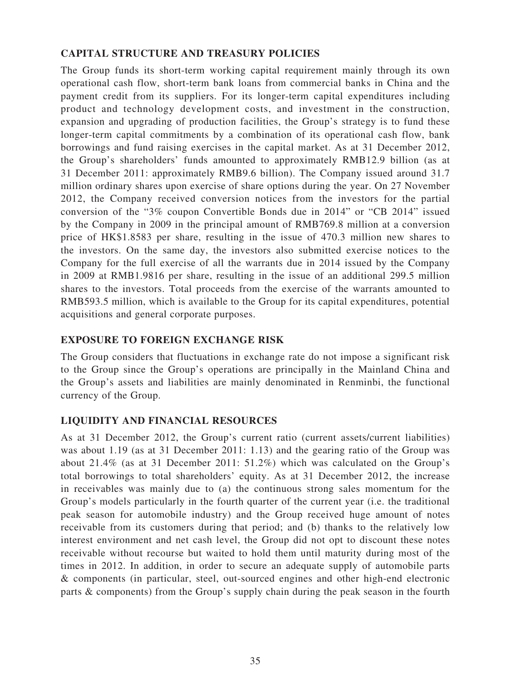## **CAPITAL STRUCTURE AND TREASURY POLICIES**

The Group funds its short-term working capital requirement mainly through its own operational cash flow, short-term bank loans from commercial banks in China and the payment credit from its suppliers. For its longer-term capital expenditures including product and technology development costs, and investment in the construction, expansion and upgrading of production facilities, the Group's strategy is to fund these longer-term capital commitments by a combination of its operational cash flow, bank borrowings and fund raising exercises in the capital market. As at 31 December 2012, the Group's shareholders' funds amounted to approximately RMB12.9 billion (as at 31 December 2011: approximately RMB9.6 billion). The Company issued around 31.7 million ordinary shares upon exercise of share options during the year. On 27 November 2012, the Company received conversion notices from the investors for the partial conversion of the "3% coupon Convertible Bonds due in 2014" or "CB 2014" issued by the Company in 2009 in the principal amount of RMB769.8 million at a conversion price of HK\$1.8583 per share, resulting in the issue of 470.3 million new shares to the investors. On the same day, the investors also submitted exercise notices to the Company for the full exercise of all the warrants due in 2014 issued by the Company in 2009 at RMB1.9816 per share, resulting in the issue of an additional 299.5 million shares to the investors. Total proceeds from the exercise of the warrants amounted to RMB593.5 million, which is available to the Group for its capital expenditures, potential acquisitions and general corporate purposes.

## **EXPOSURE TO FOREIGN EXCHANGE RISK**

The Group considers that fluctuations in exchange rate do not impose a significant risk to the Group since the Group's operations are principally in the Mainland China and the Group's assets and liabilities are mainly denominated in Renminbi, the functional currency of the Group.

## **LIQUIDITY AND FINANCIAL RESOURCES**

As at 31 December 2012, the Group's current ratio (current assets/current liabilities) was about 1.19 (as at 31 December 2011: 1.13) and the gearing ratio of the Group was about 21.4% (as at 31 December 2011: 51.2%) which was calculated on the Group's total borrowings to total shareholders' equity. As at 31 December 2012, the increase in receivables was mainly due to (a) the continuous strong sales momentum for the Group's models particularly in the fourth quarter of the current year (i.e. the traditional peak season for automobile industry) and the Group received huge amount of notes receivable from its customers during that period; and (b) thanks to the relatively low interest environment and net cash level, the Group did not opt to discount these notes receivable without recourse but waited to hold them until maturity during most of the times in 2012. In addition, in order to secure an adequate supply of automobile parts & components (in particular, steel, out-sourced engines and other high-end electronic parts & components) from the Group's supply chain during the peak season in the fourth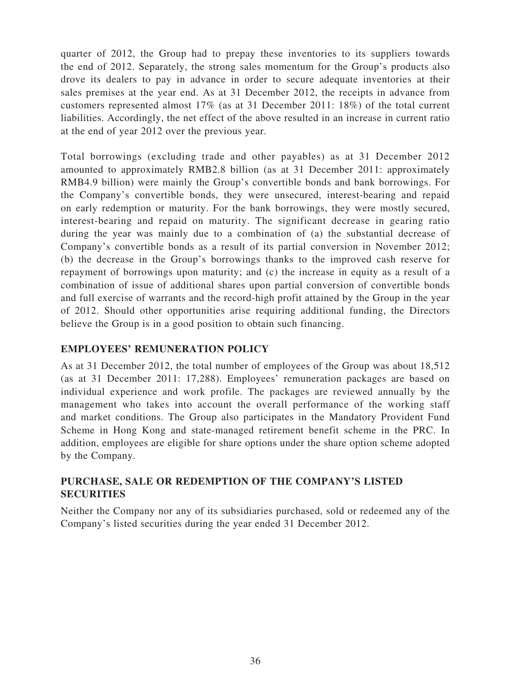quarter of 2012, the Group had to prepay these inventories to its suppliers towards the end of 2012. Separately, the strong sales momentum for the Group's products also drove its dealers to pay in advance in order to secure adequate inventories at their sales premises at the year end. As at 31 December 2012, the receipts in advance from customers represented almost 17% (as at 31 December 2011: 18%) of the total current liabilities. Accordingly, the net effect of the above resulted in an increase in current ratio at the end of year 2012 over the previous year.

Total borrowings (excluding trade and other payables) as at 31 December 2012 amounted to approximately RMB2.8 billion (as at 31 December 2011: approximately RMB4.9 billion) were mainly the Group's convertible bonds and bank borrowings. For the Company's convertible bonds, they were unsecured, interest-bearing and repaid on early redemption or maturity. For the bank borrowings, they were mostly secured, interest-bearing and repaid on maturity. The significant decrease in gearing ratio during the year was mainly due to a combination of (a) the substantial decrease of Company's convertible bonds as a result of its partial conversion in November 2012; (b) the decrease in the Group's borrowings thanks to the improved cash reserve for repayment of borrowings upon maturity; and (c) the increase in equity as a result of a combination of issue of additional shares upon partial conversion of convertible bonds and full exercise of warrants and the record-high profit attained by the Group in the year of 2012. Should other opportunities arise requiring additional funding, the Directors believe the Group is in a good position to obtain such financing.

## **EMPLOYEES' REMUNERATION POLICY**

As at 31 December 2012, the total number of employees of the Group was about 18,512 (as at 31 December 2011: 17,288). Employees' remuneration packages are based on individual experience and work profile. The packages are reviewed annually by the management who takes into account the overall performance of the working staff and market conditions. The Group also participates in the Mandatory Provident Fund Scheme in Hong Kong and state-managed retirement benefit scheme in the PRC. In addition, employees are eligible for share options under the share option scheme adopted by the Company.

# **PURCHASE, SALE OR REDEMPTION OF THE COMPANY'S LISTED SECURITIES**

Neither the Company nor any of its subsidiaries purchased, sold or redeemed any of the Company's listed securities during the year ended 31 December 2012.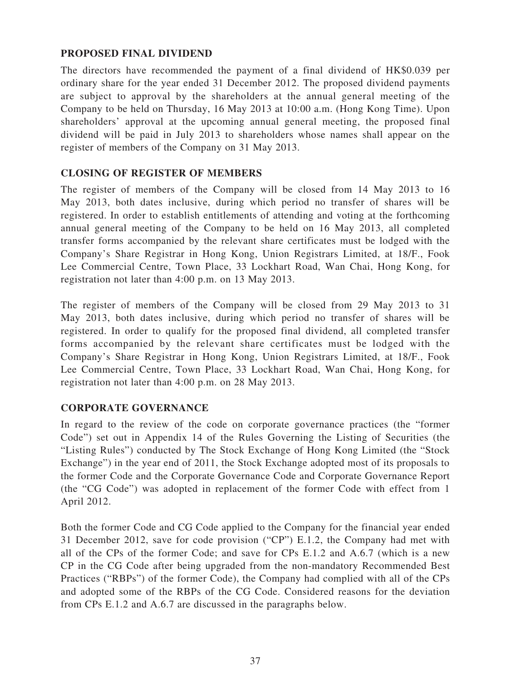## **PROPOSED FINAL DIVIDEND**

The directors have recommended the payment of a final dividend of HK\$0.039 per ordinary share for the year ended 31 December 2012. The proposed dividend payments are subject to approval by the shareholders at the annual general meeting of the Company to be held on Thursday, 16 May 2013 at 10:00 a.m. (Hong Kong Time). Upon shareholders' approval at the upcoming annual general meeting, the proposed final dividend will be paid in July 2013 to shareholders whose names shall appear on the register of members of the Company on 31 May 2013.

## **CLOSING OF REGISTER OF MEMBERS**

The register of members of the Company will be closed from 14 May 2013 to 16 May 2013, both dates inclusive, during which period no transfer of shares will be registered. In order to establish entitlements of attending and voting at the forthcoming annual general meeting of the Company to be held on 16 May 2013, all completed transfer forms accompanied by the relevant share certificates must be lodged with the Company's Share Registrar in Hong Kong, Union Registrars Limited, at 18/F., Fook Lee Commercial Centre, Town Place, 33 Lockhart Road, Wan Chai, Hong Kong, for registration not later than 4:00 p.m. on 13 May 2013.

The register of members of the Company will be closed from 29 May 2013 to 31 May 2013, both dates inclusive, during which period no transfer of shares will be registered. In order to qualify for the proposed final dividend, all completed transfer forms accompanied by the relevant share certificates must be lodged with the Company's Share Registrar in Hong Kong, Union Registrars Limited, at 18/F., Fook Lee Commercial Centre, Town Place, 33 Lockhart Road, Wan Chai, Hong Kong, for registration not later than 4:00 p.m. on 28 May 2013.

## **CORPORATE GOVERNANCE**

In regard to the review of the code on corporate governance practices (the "former Code") set out in Appendix 14 of the Rules Governing the Listing of Securities (the "Listing Rules") conducted by The Stock Exchange of Hong Kong Limited (the "Stock Exchange") in the year end of 2011, the Stock Exchange adopted most of its proposals to the former Code and the Corporate Governance Code and Corporate Governance Report (the "CG Code") was adopted in replacement of the former Code with effect from 1 April 2012.

Both the former Code and CG Code applied to the Company for the financial year ended 31 December 2012, save for code provision ("CP") E.1.2, the Company had met with all of the CPs of the former Code; and save for CPs E.1.2 and A.6.7 (which is a new CP in the CG Code after being upgraded from the non-mandatory Recommended Best Practices ("RBPs") of the former Code), the Company had complied with all of the CPs and adopted some of the RBPs of the CG Code. Considered reasons for the deviation from CPs E.1.2 and A.6.7 are discussed in the paragraphs below.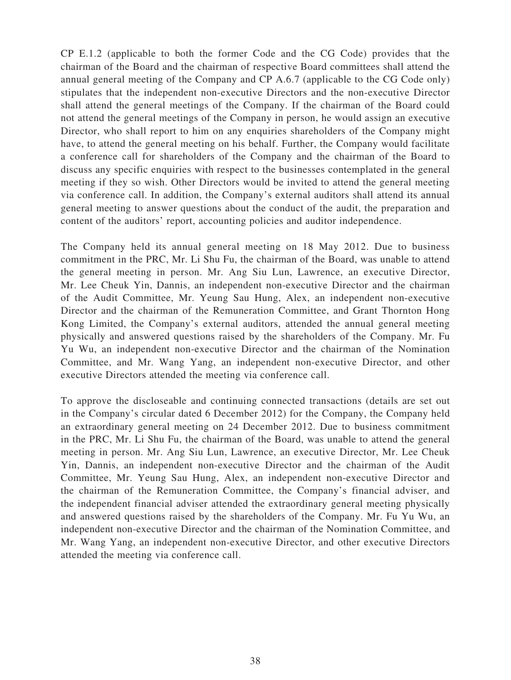CP E.1.2 (applicable to both the former Code and the CG Code) provides that the chairman of the Board and the chairman of respective Board committees shall attend the annual general meeting of the Company and CP A.6.7 (applicable to the CG Code only) stipulates that the independent non-executive Directors and the non-executive Director shall attend the general meetings of the Company. If the chairman of the Board could not attend the general meetings of the Company in person, he would assign an executive Director, who shall report to him on any enquiries shareholders of the Company might have, to attend the general meeting on his behalf. Further, the Company would facilitate a conference call for shareholders of the Company and the chairman of the Board to discuss any specific enquiries with respect to the businesses contemplated in the general meeting if they so wish. Other Directors would be invited to attend the general meeting via conference call. In addition, the Company's external auditors shall attend its annual general meeting to answer questions about the conduct of the audit, the preparation and content of the auditors' report, accounting policies and auditor independence.

The Company held its annual general meeting on 18 May 2012. Due to business commitment in the PRC, Mr. Li Shu Fu, the chairman of the Board, was unable to attend the general meeting in person. Mr. Ang Siu Lun, Lawrence, an executive Director, Mr. Lee Cheuk Yin, Dannis, an independent non-executive Director and the chairman of the Audit Committee, Mr. Yeung Sau Hung, Alex, an independent non-executive Director and the chairman of the Remuneration Committee, and Grant Thornton Hong Kong Limited, the Company's external auditors, attended the annual general meeting physically and answered questions raised by the shareholders of the Company. Mr. Fu Yu Wu, an independent non-executive Director and the chairman of the Nomination Committee, and Mr. Wang Yang, an independent non-executive Director, and other executive Directors attended the meeting via conference call.

To approve the discloseable and continuing connected transactions (details are set out in the Company's circular dated 6 December 2012) for the Company, the Company held an extraordinary general meeting on 24 December 2012. Due to business commitment in the PRC, Mr. Li Shu Fu, the chairman of the Board, was unable to attend the general meeting in person. Mr. Ang Siu Lun, Lawrence, an executive Director, Mr. Lee Cheuk Yin, Dannis, an independent non-executive Director and the chairman of the Audit Committee, Mr. Yeung Sau Hung, Alex, an independent non-executive Director and the chairman of the Remuneration Committee, the Company's financial adviser, and the independent financial adviser attended the extraordinary general meeting physically and answered questions raised by the shareholders of the Company. Mr. Fu Yu Wu, an independent non-executive Director and the chairman of the Nomination Committee, and Mr. Wang Yang, an independent non-executive Director, and other executive Directors attended the meeting via conference call.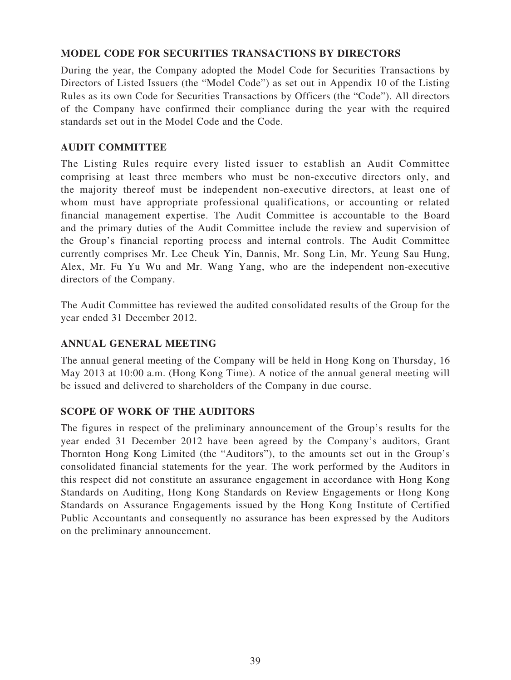## **MODEL CODE FOR SECURITIES TRANSACTIONS BY DIRECTORS**

During the year, the Company adopted the Model Code for Securities Transactions by Directors of Listed Issuers (the "Model Code") as set out in Appendix 10 of the Listing Rules as its own Code for Securities Transactions by Officers (the "Code"). All directors of the Company have confirmed their compliance during the year with the required standards set out in the Model Code and the Code.

## **AUDIT COMMITTEE**

The Listing Rules require every listed issuer to establish an Audit Committee comprising at least three members who must be non-executive directors only, and the majority thereof must be independent non-executive directors, at least one of whom must have appropriate professional qualifications, or accounting or related financial management expertise. The Audit Committee is accountable to the Board and the primary duties of the Audit Committee include the review and supervision of the Group's financial reporting process and internal controls. The Audit Committee currently comprises Mr. Lee Cheuk Yin, Dannis, Mr. Song Lin, Mr. Yeung Sau Hung, Alex, Mr. Fu Yu Wu and Mr. Wang Yang, who are the independent non-executive directors of the Company.

The Audit Committee has reviewed the audited consolidated results of the Group for the year ended 31 December 2012.

## **ANNUAL GENERAL MEETING**

The annual general meeting of the Company will be held in Hong Kong on Thursday, 16 May 2013 at 10:00 a.m. (Hong Kong Time). A notice of the annual general meeting will be issued and delivered to shareholders of the Company in due course.

## **SCOPE OF WORK OF THE AUDITORS**

The figures in respect of the preliminary announcement of the Group's results for the year ended 31 December 2012 have been agreed by the Company's auditors, Grant Thornton Hong Kong Limited (the "Auditors"), to the amounts set out in the Group's consolidated financial statements for the year. The work performed by the Auditors in this respect did not constitute an assurance engagement in accordance with Hong Kong Standards on Auditing, Hong Kong Standards on Review Engagements or Hong Kong Standards on Assurance Engagements issued by the Hong Kong Institute of Certified Public Accountants and consequently no assurance has been expressed by the Auditors on the preliminary announcement.